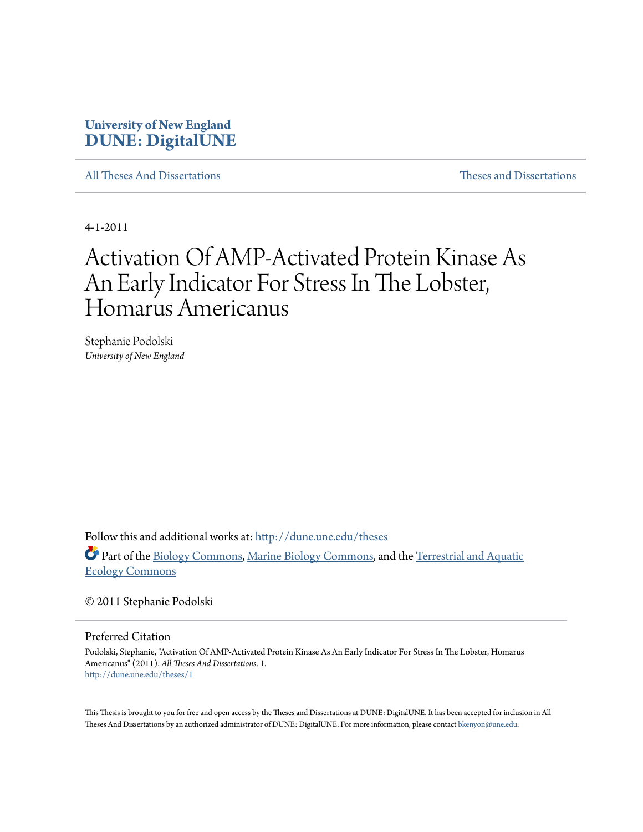# **University of New England [DUNE: DigitalUNE](http://dune.une.edu?utm_source=dune.une.edu%2Ftheses%2F1&utm_medium=PDF&utm_campaign=PDFCoverPages)**

[All Theses And Dissertations](http://dune.une.edu/theses?utm_source=dune.une.edu%2Ftheses%2F1&utm_medium=PDF&utm_campaign=PDFCoverPages) [Theses and Dissertations](http://dune.une.edu/theses_dissertations?utm_source=dune.une.edu%2Ftheses%2F1&utm_medium=PDF&utm_campaign=PDFCoverPages)

4-1-2011

# Activation Of AMP-Activated Protein Kinase As An Early Indicator For Stress In The Lobster, Homarus Americanus

Stephanie Podolski *University of New England*

Follow this and additional works at: [http://dune.une.edu/theses](http://dune.une.edu/theses?utm_source=dune.une.edu%2Ftheses%2F1&utm_medium=PDF&utm_campaign=PDFCoverPages)

Part of the [Biology Commons,](http://network.bepress.com/hgg/discipline/41?utm_source=dune.une.edu%2Ftheses%2F1&utm_medium=PDF&utm_campaign=PDFCoverPages) [Marine Biology Commons,](http://network.bepress.com/hgg/discipline/1126?utm_source=dune.une.edu%2Ftheses%2F1&utm_medium=PDF&utm_campaign=PDFCoverPages) and the [Terrestrial and Aquatic](http://network.bepress.com/hgg/discipline/20?utm_source=dune.une.edu%2Ftheses%2F1&utm_medium=PDF&utm_campaign=PDFCoverPages) [Ecology Commons](http://network.bepress.com/hgg/discipline/20?utm_source=dune.une.edu%2Ftheses%2F1&utm_medium=PDF&utm_campaign=PDFCoverPages)

© 2011 Stephanie Podolski

Preferred Citation

Podolski, Stephanie, "Activation Of AMP-Activated Protein Kinase As An Early Indicator For Stress In The Lobster, Homarus Americanus" (2011). *All Theses And Dissertations*. 1. [http://dune.une.edu/theses/1](http://dune.une.edu/theses/1?utm_source=dune.une.edu%2Ftheses%2F1&utm_medium=PDF&utm_campaign=PDFCoverPages)

This Thesis is brought to you for free and open access by the Theses and Dissertations at DUNE: DigitalUNE. It has been accepted for inclusion in All Theses And Dissertations by an authorized administrator of DUNE: DigitalUNE. For more information, please contact [bkenyon@une.edu.](mailto:bkenyon@une.edu)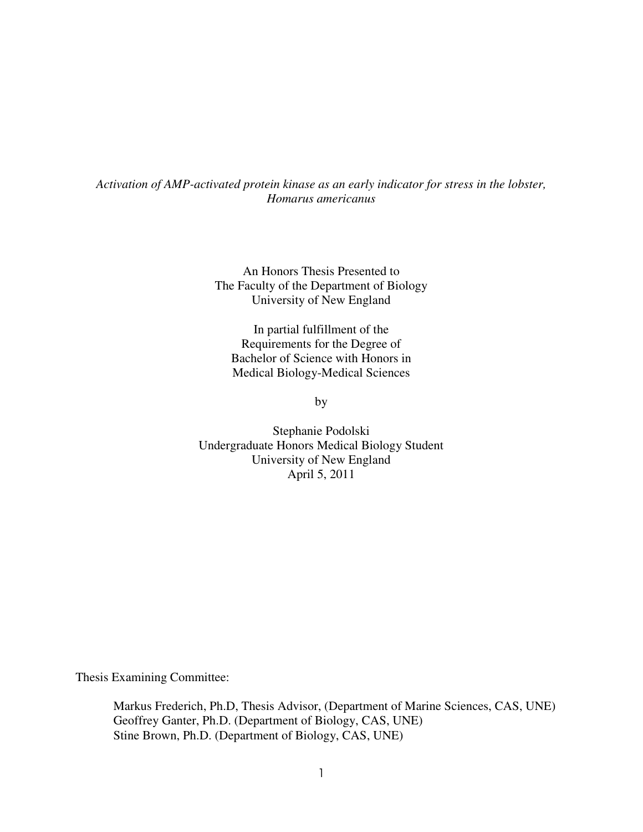## *Activation of AMP-activated protein kinase as an early indicator for stress in the lobster, Homarus americanus*

An Honors Thesis Presented to The Faculty of the Department of Biology University of New England

In partial fulfillment of the Requirements for the Degree of Bachelor of Science with Honors in Medical Biology-Medical Sciences

by

Stephanie Podolski Undergraduate Honors Medical Biology Student University of New England April 5, 2011

Thesis Examining Committee:

 Markus Frederich, Ph.D, Thesis Advisor, (Department of Marine Sciences, CAS, UNE) Geoffrey Ganter, Ph.D. (Department of Biology, CAS, UNE) Stine Brown, Ph.D. (Department of Biology, CAS, UNE)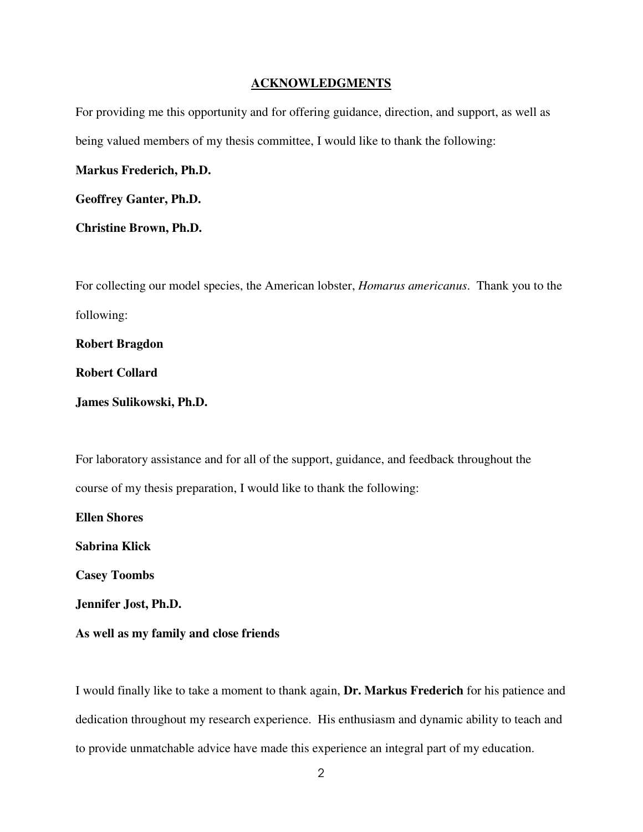### **ACKNOWLEDGMENTS**

For providing me this opportunity and for offering guidance, direction, and support, as well as being valued members of my thesis committee, I would like to thank the following:

**Markus Frederich, Ph.D.** 

**Geoffrey Ganter, Ph.D.** 

**Christine Brown, Ph.D.**

For collecting our model species, the American lobster, *Homarus americanus*. Thank you to the following:

**Robert Bragdon** 

**Robert Collard** 

**James Sulikowski, Ph.D.** 

For laboratory assistance and for all of the support, guidance, and feedback throughout the course of my thesis preparation, I would like to thank the following:

**Ellen Shores Sabrina Klick Casey Toombs Jennifer Jost, Ph.D.** 

**As well as my family and close friends**

I would finally like to take a moment to thank again, **Dr. Markus Frederich** for his patience and dedication throughout my research experience. His enthusiasm and dynamic ability to teach and to provide unmatchable advice have made this experience an integral part of my education.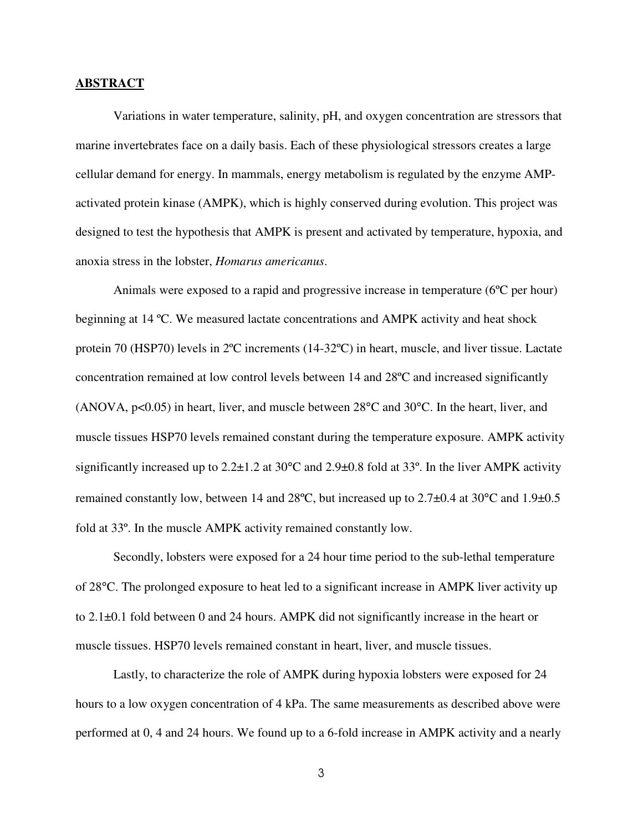#### **ABSTRACT**

 Variations in water temperature, salinity, pH, and oxygen concentration are stressors that marine invertebrates face on a daily basis. Each of these physiological stressors creates a large cellular demand for energy. In mammals, energy metabolism is regulated by the enzyme AMPactivated protein kinase (AMPK), which is highly conserved during evolution. This project was designed to test the hypothesis that AMPK is present and activated by temperature, hypoxia, and anoxia stress in the lobster, *Homarus americanus*.

 Animals were exposed to a rapid and progressive increase in temperature (6ºC per hour) beginning at 14 ºC. We measured lactate concentrations and AMPK activity and heat shock protein 70 (HSP70) levels in 2ºC increments (14-32ºC) in heart, muscle, and liver tissue. Lactate concentration remained at low control levels between 14 and 28ºC and increased significantly (ANOVA,  $p<0.05$ ) in heart, liver, and muscle between  $28^{\circ}$ C and  $30^{\circ}$ C. In the heart, liver, and muscle tissues HSP70 levels remained constant during the temperature exposure. AMPK activity significantly increased up to  $2.2\pm1.2$  at 30 $^{\circ}$ C and  $2.9\pm0.8$  fold at 33 $^{\circ}$ . In the liver AMPK activity remained constantly low, between 14 and 28ºC, but increased up to 2.7±0.4 at 30°C and 1.9±0.5 fold at 33º. In the muscle AMPK activity remained constantly low.

 Secondly, lobsters were exposed for a 24 hour time period to the sub-lethal temperature of 28°C. The prolonged exposure to heat led to a significant increase in AMPK liver activity up to 2.1±0.1 fold between 0 and 24 hours. AMPK did not significantly increase in the heart or muscle tissues. HSP70 levels remained constant in heart, liver, and muscle tissues.

 Lastly, to characterize the role of AMPK during hypoxia lobsters were exposed for 24 hours to a low oxygen concentration of 4 kPa. The same measurements as described above were performed at 0, 4 and 24 hours. We found up to a 6-fold increase in AMPK activity and a nearly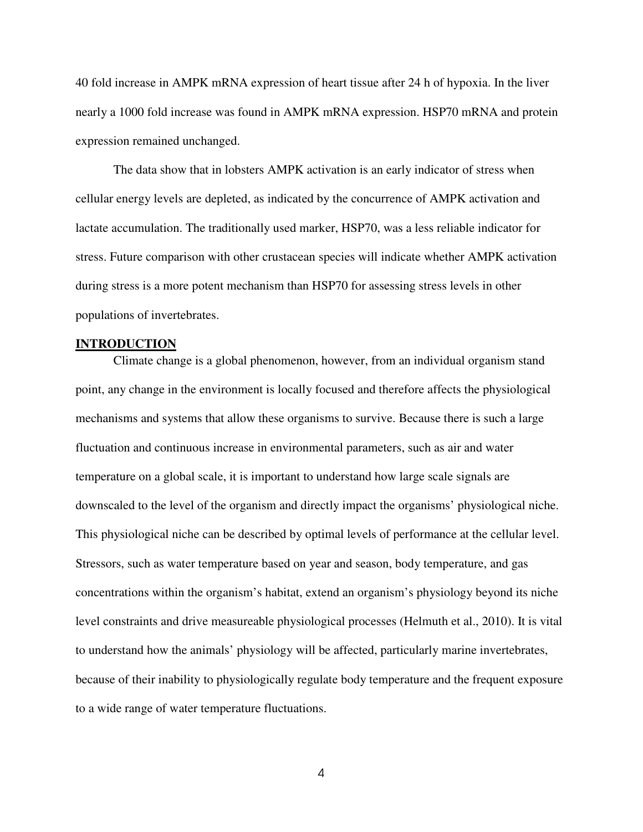40 fold increase in AMPK mRNA expression of heart tissue after 24 h of hypoxia. In the liver nearly a 1000 fold increase was found in AMPK mRNA expression. HSP70 mRNA and protein expression remained unchanged.

 The data show that in lobsters AMPK activation is an early indicator of stress when cellular energy levels are depleted, as indicated by the concurrence of AMPK activation and lactate accumulation. The traditionally used marker, HSP70, was a less reliable indicator for stress. Future comparison with other crustacean species will indicate whether AMPK activation during stress is a more potent mechanism than HSP70 for assessing stress levels in other populations of invertebrates.

#### **INTRODUCTION**

 Climate change is a global phenomenon, however, from an individual organism stand point, any change in the environment is locally focused and therefore affects the physiological mechanisms and systems that allow these organisms to survive. Because there is such a large fluctuation and continuous increase in environmental parameters, such as air and water temperature on a global scale, it is important to understand how large scale signals are downscaled to the level of the organism and directly impact the organisms' physiological niche. This physiological niche can be described by optimal levels of performance at the cellular level. Stressors, such as water temperature based on year and season, body temperature, and gas concentrations within the organism's habitat, extend an organism's physiology beyond its niche level constraints and drive measureable physiological processes (Helmuth et al., 2010). It is vital to understand how the animals' physiology will be affected, particularly marine invertebrates, because of their inability to physiologically regulate body temperature and the frequent exposure to a wide range of water temperature fluctuations.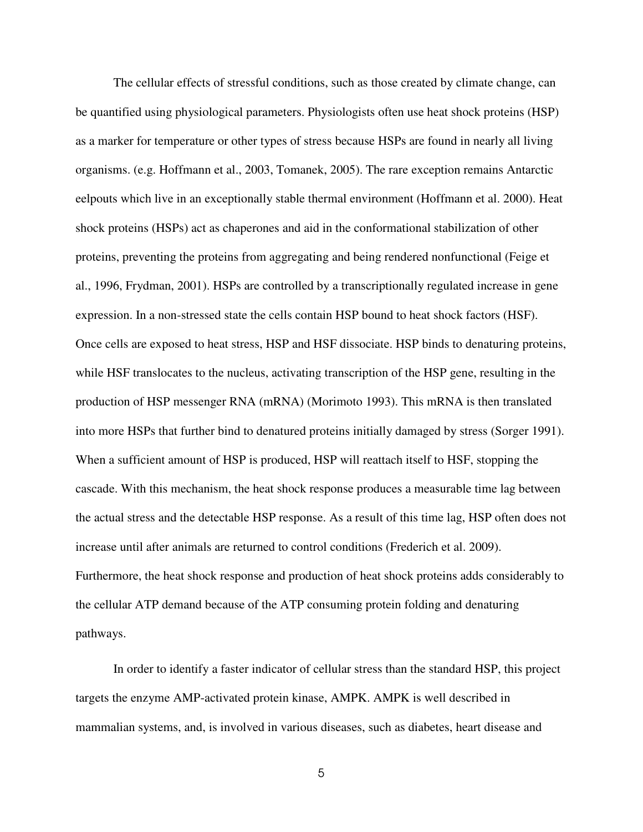The cellular effects of stressful conditions, such as those created by climate change, can be quantified using physiological parameters. Physiologists often use heat shock proteins (HSP) as a marker for temperature or other types of stress because HSPs are found in nearly all living organisms. (e.g. Hoffmann et al., 2003, Tomanek, 2005). The rare exception remains Antarctic eelpouts which live in an exceptionally stable thermal environment (Hoffmann et al. 2000). Heat shock proteins (HSPs) act as chaperones and aid in the conformational stabilization of other proteins, preventing the proteins from aggregating and being rendered nonfunctional (Feige et al., 1996, Frydman, 2001). HSPs are controlled by a transcriptionally regulated increase in gene expression. In a non-stressed state the cells contain HSP bound to heat shock factors (HSF). Once cells are exposed to heat stress, HSP and HSF dissociate. HSP binds to denaturing proteins, while HSF translocates to the nucleus, activating transcription of the HSP gene, resulting in the production of HSP messenger RNA (mRNA) (Morimoto 1993). This mRNA is then translated into more HSPs that further bind to denatured proteins initially damaged by stress (Sorger 1991). When a sufficient amount of HSP is produced, HSP will reattach itself to HSF, stopping the cascade. With this mechanism, the heat shock response produces a measurable time lag between the actual stress and the detectable HSP response. As a result of this time lag, HSP often does not increase until after animals are returned to control conditions (Frederich et al. 2009). Furthermore, the heat shock response and production of heat shock proteins adds considerably to the cellular ATP demand because of the ATP consuming protein folding and denaturing pathways.

 In order to identify a faster indicator of cellular stress than the standard HSP, this project targets the enzyme AMP-activated protein kinase, AMPK. AMPK is well described in mammalian systems, and, is involved in various diseases, such as diabetes, heart disease and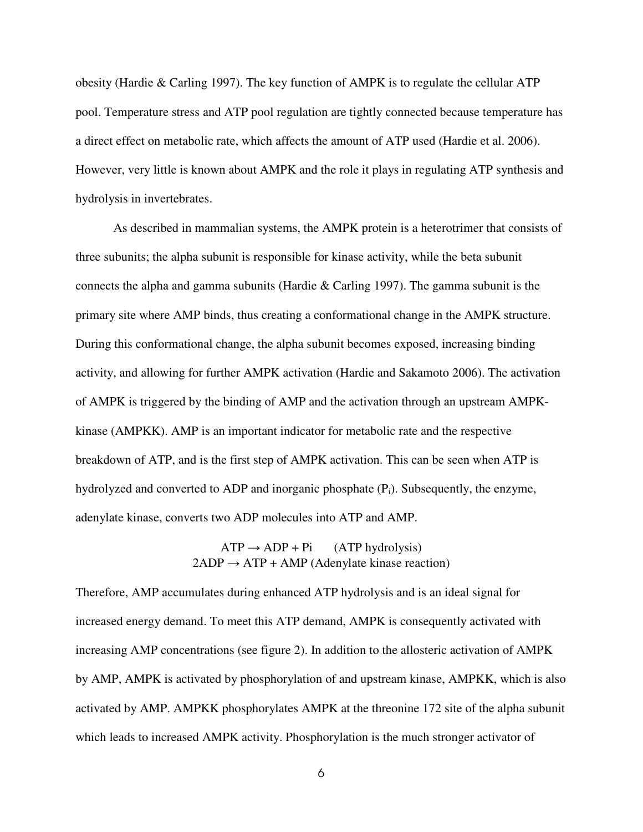obesity (Hardie & Carling 1997). The key function of AMPK is to regulate the cellular ATP pool. Temperature stress and ATP pool regulation are tightly connected because temperature has a direct effect on metabolic rate, which affects the amount of ATP used (Hardie et al. 2006). However, very little is known about AMPK and the role it plays in regulating ATP synthesis and hydrolysis in invertebrates.

 As described in mammalian systems, the AMPK protein is a heterotrimer that consists of three subunits; the alpha subunit is responsible for kinase activity, while the beta subunit connects the alpha and gamma subunits (Hardie & Carling 1997). The gamma subunit is the primary site where AMP binds, thus creating a conformational change in the AMPK structure. During this conformational change, the alpha subunit becomes exposed, increasing binding activity, and allowing for further AMPK activation (Hardie and Sakamoto 2006). The activation of AMPK is triggered by the binding of AMP and the activation through an upstream AMPKkinase (AMPKK). AMP is an important indicator for metabolic rate and the respective breakdown of ATP, and is the first step of AMPK activation. This can be seen when ATP is hydrolyzed and converted to ADP and inorganic phosphate (P<sub>i</sub>). Subsequently, the enzyme, adenylate kinase, converts two ADP molecules into ATP and AMP.

# $ATP \rightarrow ADP + Pi$  (ATP hydrolysis)  $2ADP \rightarrow ATP + AMP$  (Adenylate kinase reaction)

Therefore, AMP accumulates during enhanced ATP hydrolysis and is an ideal signal for increased energy demand. To meet this ATP demand, AMPK is consequently activated with increasing AMP concentrations (see figure 2). In addition to the allosteric activation of AMPK by AMP, AMPK is activated by phosphorylation of and upstream kinase, AMPKK, which is also activated by AMP. AMPKK phosphorylates AMPK at the threonine 172 site of the alpha subunit which leads to increased AMPK activity. Phosphorylation is the much stronger activator of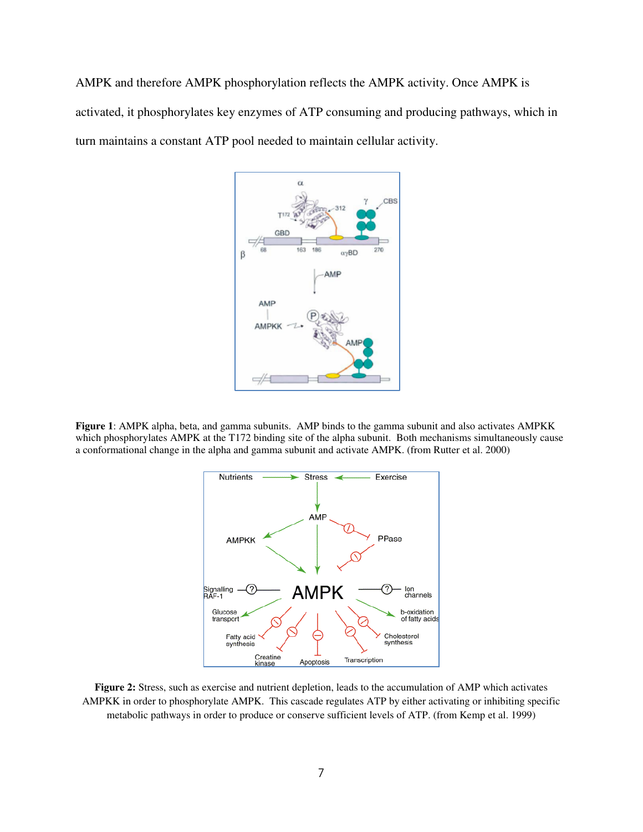AMPK and therefore AMPK phosphorylation reflects the AMPK activity. Once AMPK is activated, it phosphorylates key enzymes of ATP consuming and producing pathways, which in turn maintains a constant ATP pool needed to maintain cellular activity.



**Figure 1**: AMPK alpha, beta, and gamma subunits. AMP binds to the gamma subunit and also activates AMPKK which phosphorylates AMPK at the T172 binding site of the alpha subunit. Both mechanisms simultaneously cause a conformational change in the alpha and gamma subunit and activate AMPK. (from Rutter et al. 2000)



**Figure 2:** Stress, such as exercise and nutrient depletion, leads to the accumulation of AMP which activates AMPKK in order to phosphorylate AMPK. This cascade regulates ATP by either activating or inhibiting specific metabolic pathways in order to produce or conserve sufficient levels of ATP. (from Kemp et al. 1999)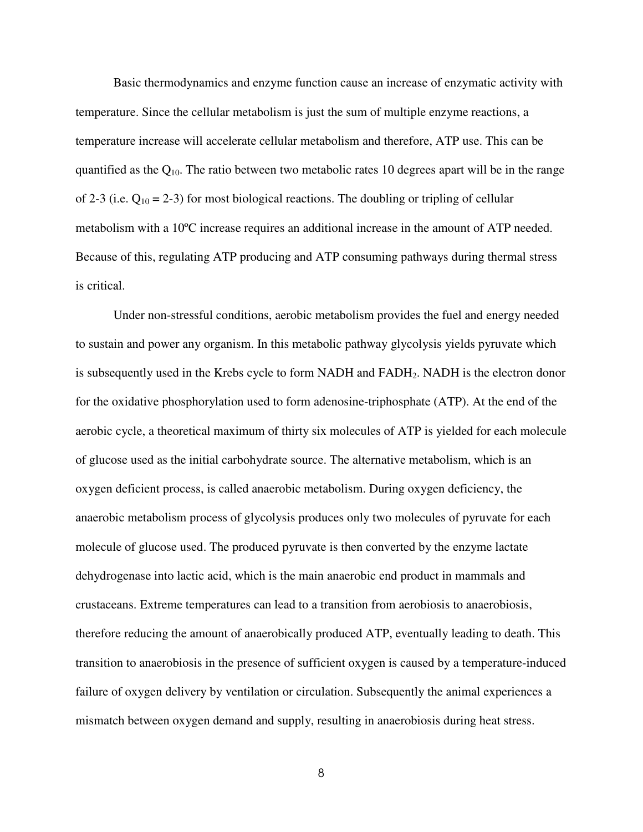Basic thermodynamics and enzyme function cause an increase of enzymatic activity with temperature. Since the cellular metabolism is just the sum of multiple enzyme reactions, a temperature increase will accelerate cellular metabolism and therefore, ATP use. This can be quantified as the  $Q_{10}$ . The ratio between two metabolic rates 10 degrees apart will be in the range of 2-3 (i.e.  $Q_{10} = 2-3$ ) for most biological reactions. The doubling or tripling of cellular metabolism with a 10ºC increase requires an additional increase in the amount of ATP needed. Because of this, regulating ATP producing and ATP consuming pathways during thermal stress is critical.

 Under non-stressful conditions, aerobic metabolism provides the fuel and energy needed to sustain and power any organism. In this metabolic pathway glycolysis yields pyruvate which is subsequently used in the Krebs cycle to form NADH and FADH<sub>2</sub>. NADH is the electron donor for the oxidative phosphorylation used to form adenosine-triphosphate (ATP). At the end of the aerobic cycle, a theoretical maximum of thirty six molecules of ATP is yielded for each molecule of glucose used as the initial carbohydrate source. The alternative metabolism, which is an oxygen deficient process, is called anaerobic metabolism. During oxygen deficiency, the anaerobic metabolism process of glycolysis produces only two molecules of pyruvate for each molecule of glucose used. The produced pyruvate is then converted by the enzyme lactate dehydrogenase into lactic acid, which is the main anaerobic end product in mammals and crustaceans. Extreme temperatures can lead to a transition from aerobiosis to anaerobiosis, therefore reducing the amount of anaerobically produced ATP, eventually leading to death. This transition to anaerobiosis in the presence of sufficient oxygen is caused by a temperature-induced failure of oxygen delivery by ventilation or circulation. Subsequently the animal experiences a mismatch between oxygen demand and supply, resulting in anaerobiosis during heat stress.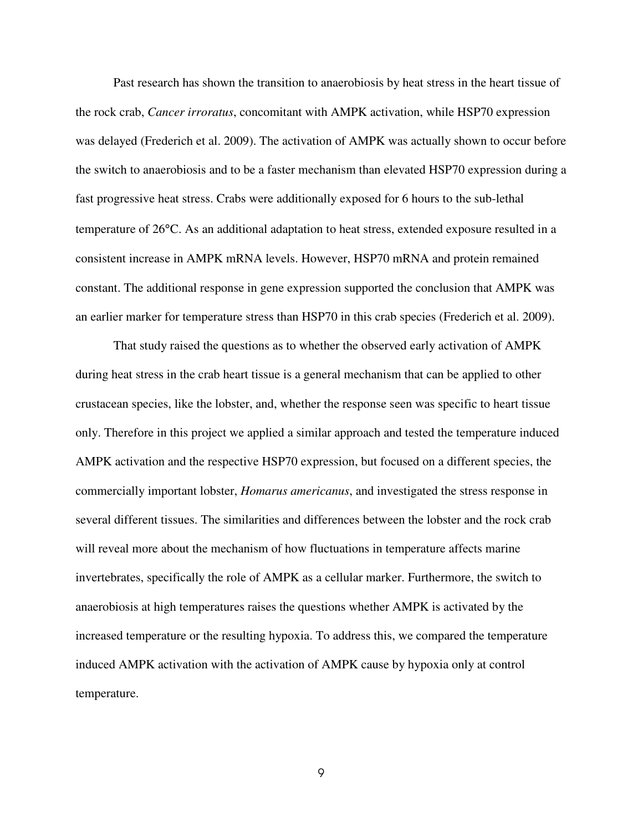Past research has shown the transition to anaerobiosis by heat stress in the heart tissue of the rock crab, *Cancer irroratus*, concomitant with AMPK activation, while HSP70 expression was delayed (Frederich et al. 2009). The activation of AMPK was actually shown to occur before the switch to anaerobiosis and to be a faster mechanism than elevated HSP70 expression during a fast progressive heat stress. Crabs were additionally exposed for 6 hours to the sub-lethal temperature of 26°C. As an additional adaptation to heat stress, extended exposure resulted in a consistent increase in AMPK mRNA levels. However, HSP70 mRNA and protein remained constant. The additional response in gene expression supported the conclusion that AMPK was an earlier marker for temperature stress than HSP70 in this crab species (Frederich et al. 2009).

 That study raised the questions as to whether the observed early activation of AMPK during heat stress in the crab heart tissue is a general mechanism that can be applied to other crustacean species, like the lobster, and, whether the response seen was specific to heart tissue only. Therefore in this project we applied a similar approach and tested the temperature induced AMPK activation and the respective HSP70 expression, but focused on a different species, the commercially important lobster, *Homarus americanus*, and investigated the stress response in several different tissues. The similarities and differences between the lobster and the rock crab will reveal more about the mechanism of how fluctuations in temperature affects marine invertebrates, specifically the role of AMPK as a cellular marker. Furthermore, the switch to anaerobiosis at high temperatures raises the questions whether AMPK is activated by the increased temperature or the resulting hypoxia. To address this, we compared the temperature induced AMPK activation with the activation of AMPK cause by hypoxia only at control temperature.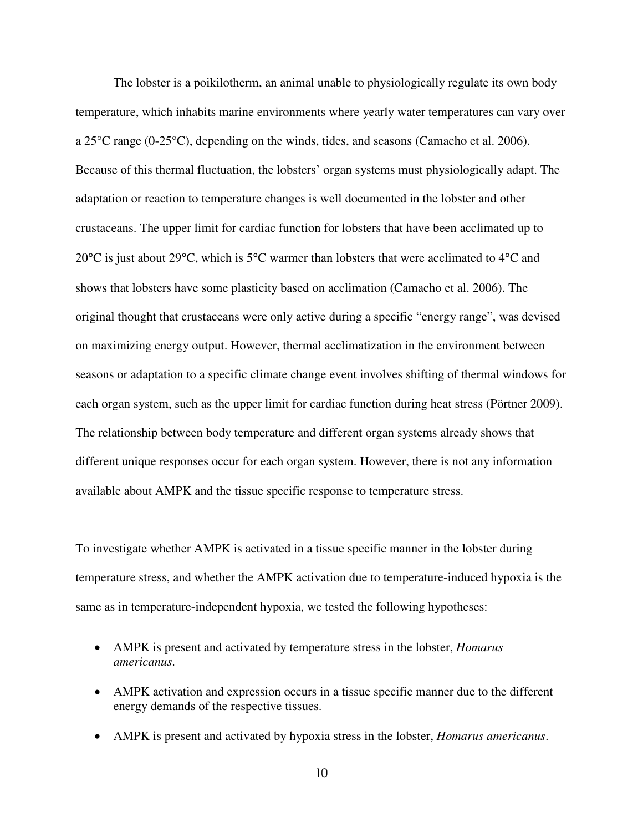The lobster is a poikilotherm, an animal unable to physiologically regulate its own body temperature, which inhabits marine environments where yearly water temperatures can vary over a 25°C range (0-25°C), depending on the winds, tides, and seasons (Camacho et al. 2006). Because of this thermal fluctuation, the lobsters' organ systems must physiologically adapt. The adaptation or reaction to temperature changes is well documented in the lobster and other crustaceans. The upper limit for cardiac function for lobsters that have been acclimated up to 20°C is just about 29°C, which is 5°C warmer than lobsters that were acclimated to 4°C and shows that lobsters have some plasticity based on acclimation (Camacho et al. 2006). The original thought that crustaceans were only active during a specific "energy range", was devised on maximizing energy output. However, thermal acclimatization in the environment between seasons or adaptation to a specific climate change event involves shifting of thermal windows for each organ system, such as the upper limit for cardiac function during heat stress (Pörtner 2009). The relationship between body temperature and different organ systems already shows that different unique responses occur for each organ system. However, there is not any information available about AMPK and the tissue specific response to temperature stress.

To investigate whether AMPK is activated in a tissue specific manner in the lobster during temperature stress, and whether the AMPK activation due to temperature-induced hypoxia is the same as in temperature-independent hypoxia, we tested the following hypotheses:

- AMPK is present and activated by temperature stress in the lobster, *Homarus americanus*.
- AMPK activation and expression occurs in a tissue specific manner due to the different energy demands of the respective tissues.
- AMPK is present and activated by hypoxia stress in the lobster, *Homarus americanus*.
	- 10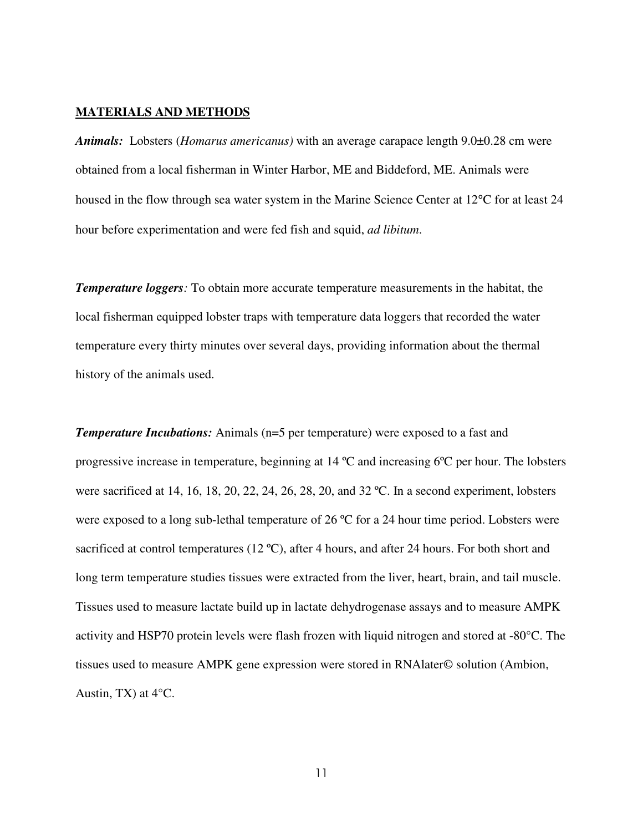### **MATERIALS AND METHODS**

*Animals:* Lobsters (*Homarus americanus)* with an average carapace length 9.0±0.28 cm were obtained from a local fisherman in Winter Harbor, ME and Biddeford, ME. Animals were housed in the flow through sea water system in the Marine Science Center at 12°C for at least 24 hour before experimentation and were fed fish and squid, *ad libitum*.

*Temperature loggers:* To obtain more accurate temperature measurements in the habitat, the local fisherman equipped lobster traps with temperature data loggers that recorded the water temperature every thirty minutes over several days, providing information about the thermal history of the animals used.

**Temperature Incubations:** Animals (n=5 per temperature) were exposed to a fast and progressive increase in temperature, beginning at 14 ºC and increasing 6ºC per hour. The lobsters were sacrificed at 14, 16, 18, 20, 22, 24, 26, 28, 20, and 32 ºC. In a second experiment, lobsters were exposed to a long sub-lethal temperature of 26 ºC for a 24 hour time period. Lobsters were sacrificed at control temperatures (12 °C), after 4 hours, and after 24 hours. For both short and long term temperature studies tissues were extracted from the liver, heart, brain, and tail muscle. Tissues used to measure lactate build up in lactate dehydrogenase assays and to measure AMPK activity and HSP70 protein levels were flash frozen with liquid nitrogen and stored at -80°C. The tissues used to measure AMPK gene expression were stored in RNAlater© solution (Ambion, Austin, TX) at  $4^{\circ}$ C.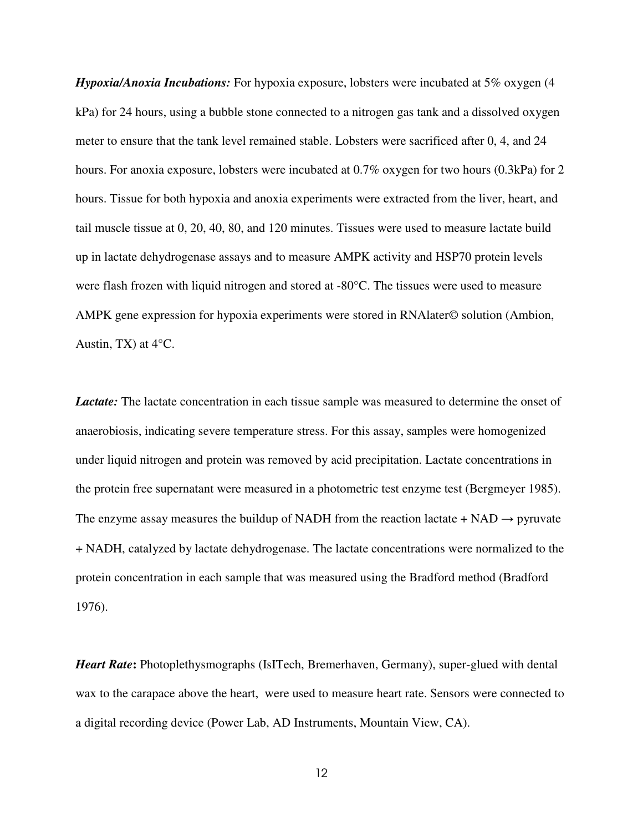*Hypoxia/Anoxia Incubations:* For hypoxia exposure, lobsters were incubated at 5% oxygen (4 kPa) for 24 hours, using a bubble stone connected to a nitrogen gas tank and a dissolved oxygen meter to ensure that the tank level remained stable. Lobsters were sacrificed after 0, 4, and 24 hours. For anoxia exposure, lobsters were incubated at 0.7% oxygen for two hours (0.3kPa) for 2 hours. Tissue for both hypoxia and anoxia experiments were extracted from the liver, heart, and tail muscle tissue at 0, 20, 40, 80, and 120 minutes. Tissues were used to measure lactate build up in lactate dehydrogenase assays and to measure AMPK activity and HSP70 protein levels were flash frozen with liquid nitrogen and stored at -80°C. The tissues were used to measure AMPK gene expression for hypoxia experiments were stored in RNAlater© solution (Ambion, Austin, TX) at 4°C.

*Lactate:* The lactate concentration in each tissue sample was measured to determine the onset of anaerobiosis, indicating severe temperature stress. For this assay, samples were homogenized under liquid nitrogen and protein was removed by acid precipitation. Lactate concentrations in the protein free supernatant were measured in a photometric test enzyme test (Bergmeyer 1985). The enzyme assay measures the buildup of NADH from the reaction lactate + NAD  $\rightarrow$  pyruvate + NADH, catalyzed by lactate dehydrogenase. The lactate concentrations were normalized to the protein concentration in each sample that was measured using the Bradford method (Bradford 1976).

*Heart Rate***:** Photoplethysmographs (IsITech, Bremerhaven, Germany), super-glued with dental wax to the carapace above the heart, were used to measure heart rate. Sensors were connected to a digital recording device (Power Lab, AD Instruments, Mountain View, CA).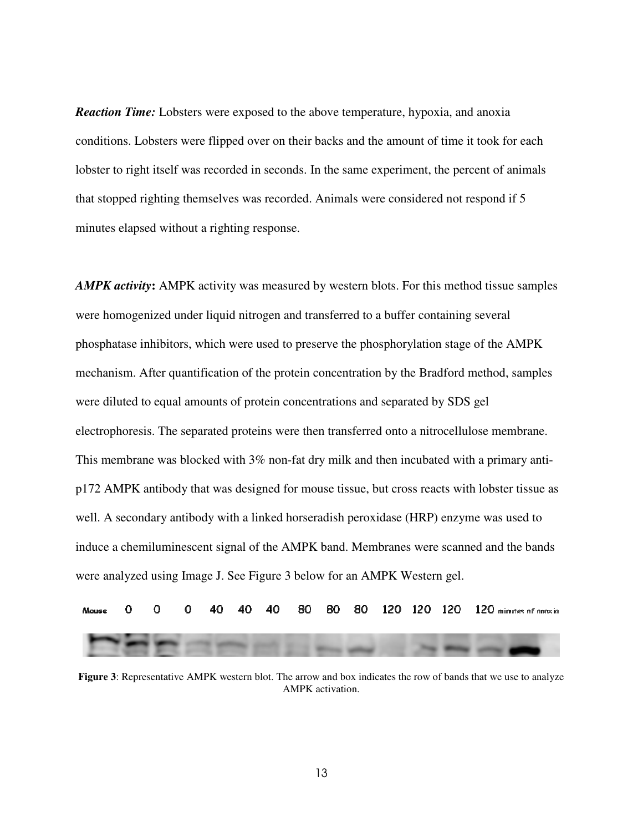*Reaction Time:* Lobsters were exposed to the above temperature, hypoxia, and anoxia conditions. Lobsters were flipped over on their backs and the amount of time it took for each lobster to right itself was recorded in seconds. In the same experiment, the percent of animals that stopped righting themselves was recorded. Animals were considered not respond if 5 minutes elapsed without a righting response.

*AMPK activity***:** AMPK activity was measured by western blots. For this method tissue samples were homogenized under liquid nitrogen and transferred to a buffer containing several phosphatase inhibitors, which were used to preserve the phosphorylation stage of the AMPK mechanism. After quantification of the protein concentration by the Bradford method, samples were diluted to equal amounts of protein concentrations and separated by SDS gel electrophoresis. The separated proteins were then transferred onto a nitrocellulose membrane. This membrane was blocked with 3% non-fat dry milk and then incubated with a primary antip172 AMPK antibody that was designed for mouse tissue, but cross reacts with lobster tissue as well. A secondary antibody with a linked horseradish peroxidase (HRP) enzyme was used to induce a chemiluminescent signal of the AMPK band. Membranes were scanned and the bands were analyzed using Image J. See Figure 3 below for an AMPK Western gel.

|  |  |  |  |  |  | Mouse 0 0 0 40 40 40 80 80 80 120 120 120 120 minutes of anoxia |
|--|--|--|--|--|--|-----------------------------------------------------------------|
|  |  |  |  |  |  |                                                                 |

**Figure 3**: Representative AMPK western blot. The arrow and box indicates the row of bands that we use to analyze AMPK activation.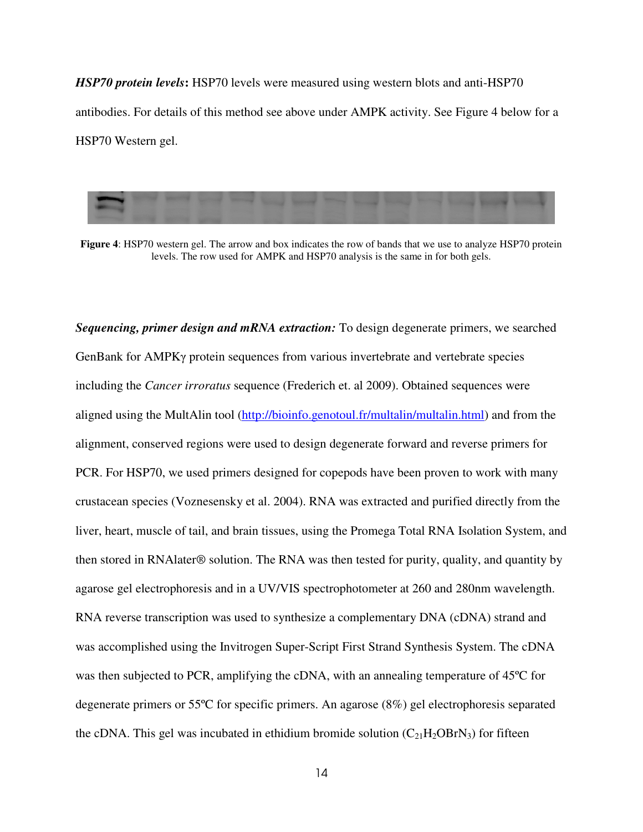*HSP70 protein levels***:** HSP70 levels were measured using western blots and anti-HSP70 antibodies. For details of this method see above under AMPK activity. See Figure 4 below for a HSP70 Western gel.



**Figure 4**: HSP70 western gel. The arrow and box indicates the row of bands that we use to analyze HSP70 protein levels. The row used for AMPK and HSP70 analysis is the same in for both gels.

*Sequencing, primer design and mRNA extraction:* To design degenerate primers, we searched GenBank for AMPKγ protein sequences from various invertebrate and vertebrate species including the *Cancer irroratus* sequence (Frederich et. al 2009). Obtained sequences were aligned using the MultAlin tool (http://bioinfo.genotoul.fr/multalin/multalin.html) and from the alignment, conserved regions were used to design degenerate forward and reverse primers for PCR. For HSP70, we used primers designed for copepods have been proven to work with many crustacean species (Voznesensky et al. 2004). RNA was extracted and purified directly from the liver, heart, muscle of tail, and brain tissues, using the Promega Total RNA Isolation System, and then stored in RNAlater® solution. The RNA was then tested for purity, quality, and quantity by agarose gel electrophoresis and in a UV/VIS spectrophotometer at 260 and 280nm wavelength. RNA reverse transcription was used to synthesize a complementary DNA (cDNA) strand and was accomplished using the Invitrogen Super-Script First Strand Synthesis System. The cDNA was then subjected to PCR, amplifying the cDNA, with an annealing temperature of 45ºC for degenerate primers or 55ºC for specific primers. An agarose (8%) gel electrophoresis separated the cDNA. This gel was incubated in ethidium bromide solution  $(C_{21}H_2OBrN_3)$  for fifteen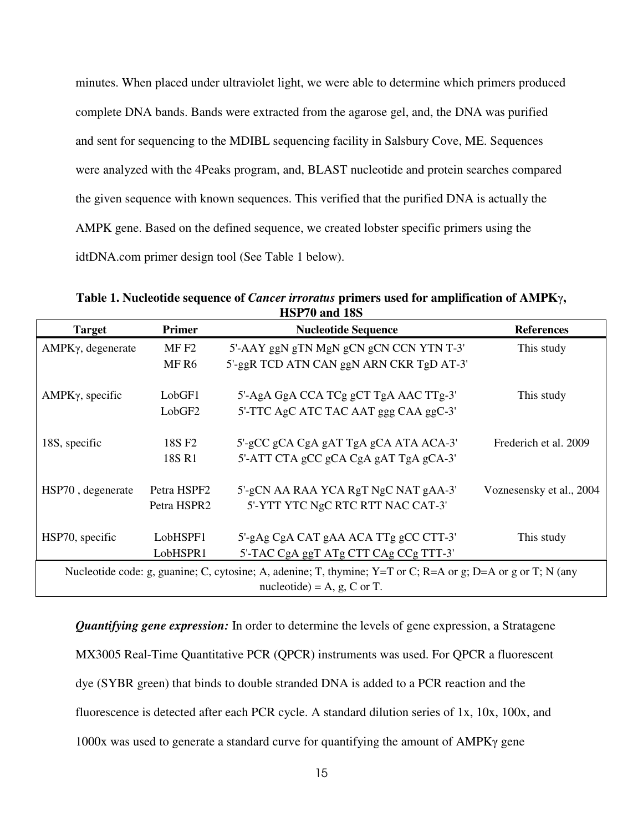minutes. When placed under ultraviolet light, we were able to determine which primers produced complete DNA bands. Bands were extracted from the agarose gel, and, the DNA was purified and sent for sequencing to the MDIBL sequencing facility in Salsbury Cove, ME. Sequences were analyzed with the 4Peaks program, and, BLAST nucleotide and protein searches compared the given sequence with known sequences. This verified that the purified DNA is actually the AMPK gene. Based on the defined sequence, we created lobster specific primers using the idtDNA.com primer design tool (See Table 1 below).

**Table 1. Nucleotide sequence of** *Cancer irroratus* **primers used for amplification of AMPK**γ**, HSP70 and 18S** 

| <b>Target</b>                  | <b>Primer</b>      | <b>Nucleotide Sequence</b>                                                                                  | <b>References</b>        |  |  |  |  |
|--------------------------------|--------------------|-------------------------------------------------------------------------------------------------------------|--------------------------|--|--|--|--|
| AMPKγ, degenerate              | MF <sub>F2</sub>   | 5'-AAY ggN gTN MgN gCN gCN CCN YTN T-3'                                                                     | This study               |  |  |  |  |
|                                | MF <sub>R6</sub>   | 5'-ggR TCD ATN CAN ggN ARN CKR TgD AT-3'                                                                    |                          |  |  |  |  |
| $AMPK\gamma$ , specific        | LobGF1             | 5'-AgA GgA CCA TCg gCT TgA AAC TTg-3'                                                                       | This study               |  |  |  |  |
|                                | LobGF <sub>2</sub> | 5'-TTC AgC ATC TAC AAT ggg CAA ggC-3'                                                                       |                          |  |  |  |  |
| 18S, specific                  | 18S F <sub>2</sub> | 5'-gCC gCA CgA gAT TgA gCA ATA ACA-3'                                                                       | Frederich et al. 2009    |  |  |  |  |
|                                | 18S R1             | 5'-ATT CTA gCC gCA CgA gAT TgA gCA-3'                                                                       |                          |  |  |  |  |
| HSP70, degenerate              | Petra HSPF2        | 5'-gCN AA RAA YCA RgT NgC NAT gAA-3'                                                                        | Voznesensky et al., 2004 |  |  |  |  |
|                                | Petra HSPR2        | 5'-YTT YTC NgC RTC RTT NAC CAT-3'                                                                           |                          |  |  |  |  |
| HSP70, specific                | LobHSPF1           | 5'-gAg CgA CAT gAA ACA TTg gCC CTT-3'                                                                       | This study               |  |  |  |  |
|                                | LobHSPR1           | 5'-TAC CgA ggT ATg CTT CAg CCg TTT-3'                                                                       |                          |  |  |  |  |
|                                |                    | Nucleotide code: g, guanine; C, cytosine; A, adenine; T, thymine; Y=T or C; R=A or g; D=A or g or T; N (any |                          |  |  |  |  |
| nucleotide) = $A$ , g, C or T. |                    |                                                                                                             |                          |  |  |  |  |

*Quantifying gene expression:* In order to determine the levels of gene expression, a Stratagene MX3005 Real-Time Quantitative PCR (QPCR) instruments was used. For QPCR a fluorescent dye (SYBR green) that binds to double stranded DNA is added to a PCR reaction and the fluorescence is detected after each PCR cycle. A standard dilution series of 1x, 10x, 100x, and 1000x was used to generate a standard curve for quantifying the amount of AMPKγ gene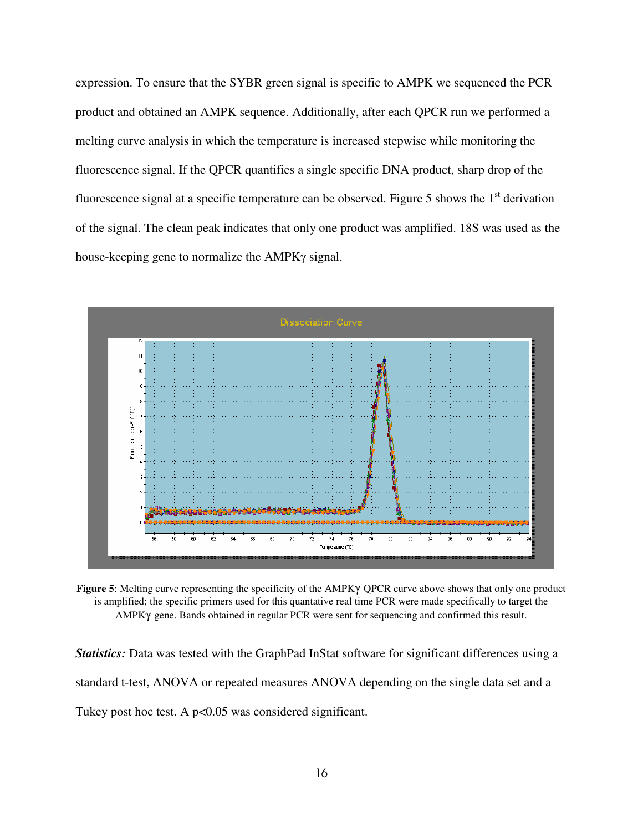expression. To ensure that the SYBR green signal is specific to AMPK we sequenced the PCR product and obtained an AMPK sequence. Additionally, after each QPCR run we performed a melting curve analysis in which the temperature is increased stepwise while monitoring the fluorescence signal. If the QPCR quantifies a single specific DNA product, sharp drop of the fluorescence signal at a specific temperature can be observed. Figure 5 shows the  $1<sup>st</sup>$  derivation of the signal. The clean peak indicates that only one product was amplified. 18S was used as the house-keeping gene to normalize the AMPKγ signal.



**Figure 5**: Melting curve representing the specificity of the AMPKγ QPCR curve above shows that only one product is amplified; the specific primers used for this quantative real time PCR were made specifically to target the AMPKγ gene. Bands obtained in regular PCR were sent for sequencing and confirmed this result.

*Statistics:* Data was tested with the GraphPad InStat software for significant differences using a standard t-test, ANOVA or repeated measures ANOVA depending on the single data set and a Tukey post hoc test. A p<0.05 was considered significant.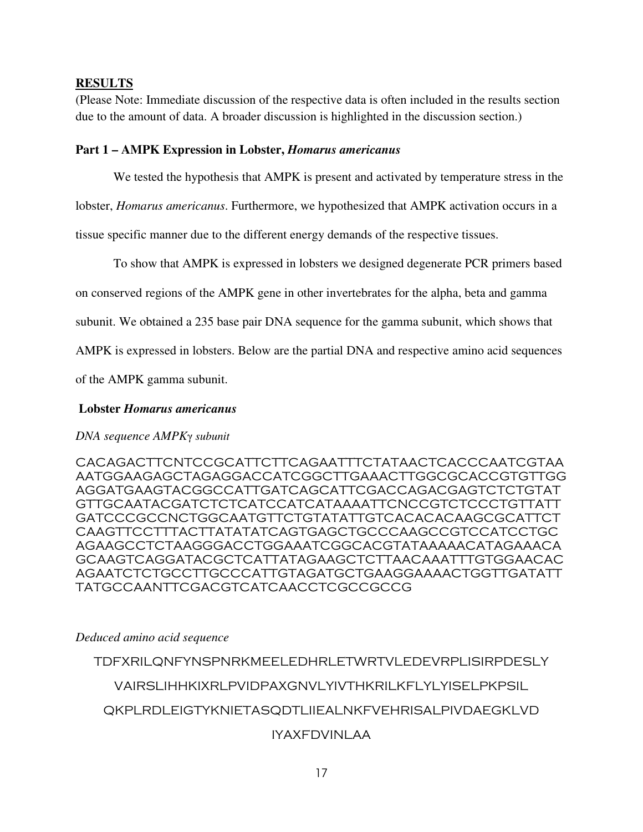## **RESULTS**

(Please Note: Immediate discussion of the respective data is often included in the results section due to the amount of data. A broader discussion is highlighted in the discussion section.)

## **Part 1 – AMPK Expression in Lobster,** *Homarus americanus*

We tested the hypothesis that AMPK is present and activated by temperature stress in the

lobster, *Homarus americanus*. Furthermore, we hypothesized that AMPK activation occurs in a

tissue specific manner due to the different energy demands of the respective tissues.

To show that AMPK is expressed in lobsters we designed degenerate PCR primers based

on conserved regions of the AMPK gene in other invertebrates for the alpha, beta and gamma

subunit. We obtained a 235 base pair DNA sequence for the gamma subunit, which shows that

AMPK is expressed in lobsters. Below are the partial DNA and respective amino acid sequences

of the AMPK gamma subunit.

# **Lobster** *Homarus americanus*

# *DNA sequence AMPK*γ *subunit*

CACAGACTTCNTCCGCATTCTTCAGAATTTCTATAACTCACCCAATCGTAA AATGGAAGAGCTAGAGGACCATCGGCTTGAAACTTGGCGCACCGTGTTGG AGGATGAAGTACGGCCATTGATCAGCATTCGACCAGACGAGTCTCTGTAT GTTGCAATACGATCTCTCATCCATCATAAAATTCNCCGTCTCCCTGTTATT GATCCCGCCNCTGGCAATGTTCTGTATATTGTCACACACAAGCGCATTCT CAAGTTCCTTTACTTATATATCAGTGAGCTGCCCAAGCCGTCCATCCTGC AGAAGCCTCTAAGGGACCTGGAAATCGGCACGTATAAAAACATAGAAACA GCAAGTCAGGATACGCTCATTATAGAAGCTCTTAACAAATTTGTGGAACAC AGAATCTCTGCCTTGCCCATTGTAGATGCTGAAGGAAAACTGGTTGATATT TATGCCAANTTCGACGTCATCAACCTCGCCGCCG

### *Deduced amino acid sequence*

TDFXRILQNFYNSPNRKMEELEDHRLETWRTVLEDEVRPLISIRPDESLY VAIRSLIHHKIXRLPVIDPAXGNVLYIVTHKRILKFLYLYISELPKPSIL

# QKPLRDLEIGTYKNIETASQDTLIIEALNKFVEHRISALPIVDAEGKLVD

# IYAXFDVINLAA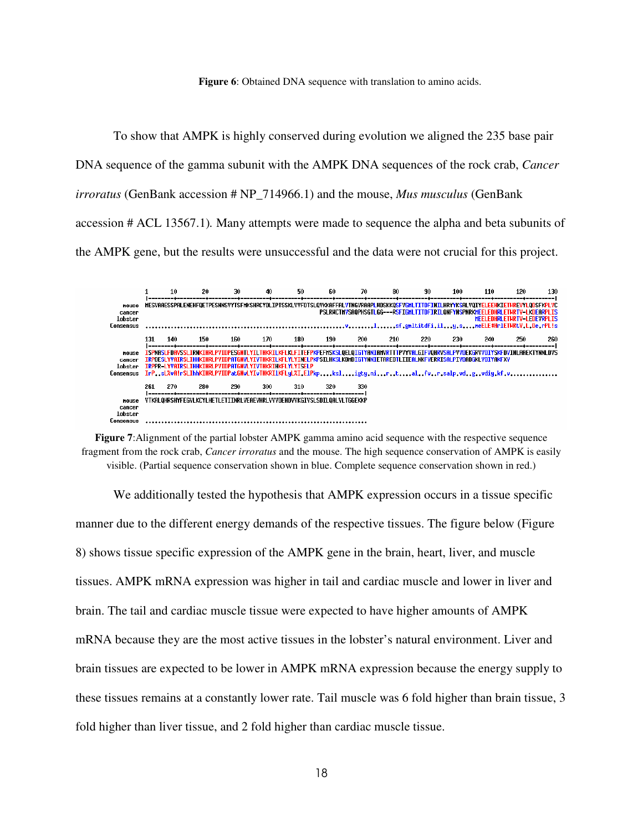**Figure 6**: Obtained DNA sequence with translation to amino acids.

To show that AMPK is highly conserved during evolution we aligned the 235 base pair DNA sequence of the gamma subunit with the AMPK DNA sequences of the rock crab, *Cancer irroratus* (GenBank accession # NP\_714966.1) and the mouse, *Mus musculus* (GenBank accession # ACL 13567.1)*.* Many attempts were made to sequence the alpha and beta subunits of the AMPK gene, but the results were unsuccessful and the data were not crucial for this project.



**Figure 7**:Alignment of the partial lobster AMPK gamma amino acid sequence with the respective sequence fragment from the rock crab, *Cancer irroratus* and the mouse. The high sequence conservation of AMPK is easily visible. (Partial sequence conservation shown in blue. Complete sequence conservation shown in red.)

 We additionally tested the hypothesis that AMPK expression occurs in a tissue specific manner due to the different energy demands of the respective tissues. The figure below (Figure 8) shows tissue specific expression of the AMPK gene in the brain, heart, liver, and muscle tissues. AMPK mRNA expression was higher in tail and cardiac muscle and lower in liver and brain. The tail and cardiac muscle tissue were expected to have higher amounts of AMPK mRNA because they are the most active tissues in the lobster's natural environment. Liver and brain tissues are expected to be lower in AMPK mRNA expression because the energy supply to these tissues remains at a constantly lower rate. Tail muscle was 6 fold higher than brain tissue, 3 fold higher than liver tissue, and 2 fold higher than cardiac muscle tissue.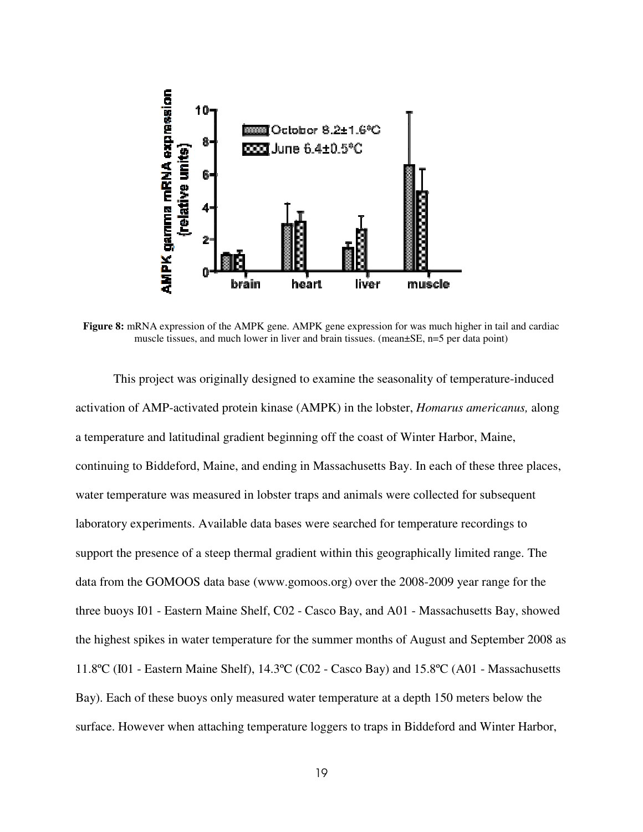

**Figure 8:** mRNA expression of the AMPK gene. AMPK gene expression for was much higher in tail and cardiac muscle tissues, and much lower in liver and brain tissues. (mean±SE, n=5 per data point)

 This project was originally designed to examine the seasonality of temperature-induced activation of AMP-activated protein kinase (AMPK) in the lobster, *Homarus americanus,* along a temperature and latitudinal gradient beginning off the coast of Winter Harbor, Maine, continuing to Biddeford, Maine, and ending in Massachusetts Bay. In each of these three places, water temperature was measured in lobster traps and animals were collected for subsequent laboratory experiments. Available data bases were searched for temperature recordings to support the presence of a steep thermal gradient within this geographically limited range. The data from the GOMOOS data base (www.gomoos.org) over the 2008-2009 year range for the three buoys I01 - Eastern Maine Shelf, C02 - Casco Bay, and A01 - Massachusetts Bay, showed the highest spikes in water temperature for the summer months of August and September 2008 as 11.8ºC (I01 - Eastern Maine Shelf), 14.3ºC (C02 - Casco Bay) and 15.8ºC (A01 - Massachusetts Bay). Each of these buoys only measured water temperature at a depth 150 meters below the surface. However when attaching temperature loggers to traps in Biddeford and Winter Harbor,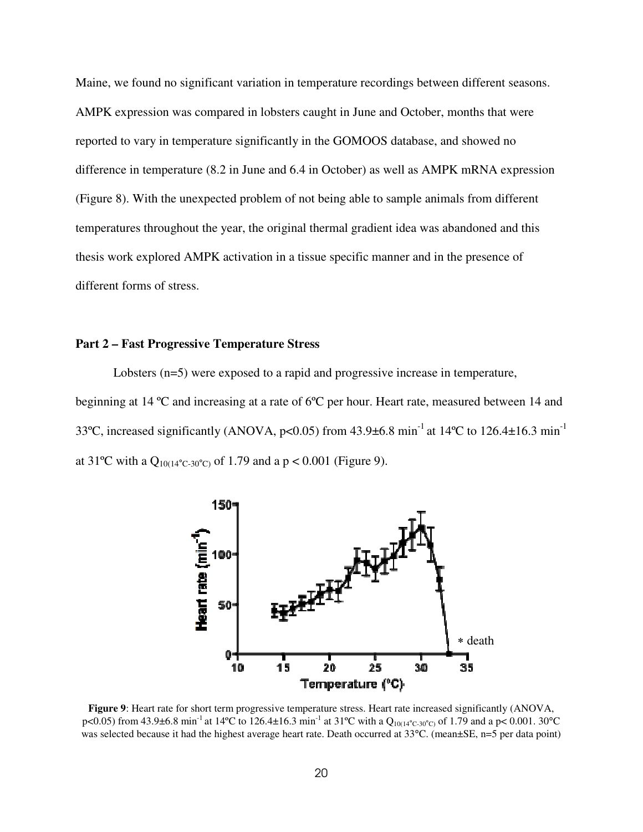Maine, we found no significant variation in temperature recordings between different seasons. AMPK expression was compared in lobsters caught in June and October, months that were reported to vary in temperature significantly in the GOMOOS database, and showed no difference in temperature (8.2 in June and 6.4 in October) as well as AMPK mRNA expression (Figure 8). With the unexpected problem of not being able to sample animals from different temperatures throughout the year, the original thermal gradient idea was abandoned and this thesis work explored AMPK activation in a tissue specific manner and in the presence of different forms of stress.

### **Part 2 – Fast Progressive Temperature Stress**

Lobsters (n=5) were exposed to a rapid and progressive increase in temperature, beginning at 14 ºC and increasing at a rate of 6ºC per hour. Heart rate, measured between 14 and 33°C, increased significantly (ANOVA,  $p<0.05$ ) from 43.9±6.8 min<sup>-1</sup> at 14°C to 126.4±16.3 min<sup>-1</sup> at 31<sup>o</sup>C with a Q<sub>10(14</sub><sup>o</sup>c-30<sup>o</sup>c) of 1.79 and a p < 0.001 (Figure 9).



**Figure 9**: Heart rate for short term progressive temperature stress. Heart rate increased significantly (ANOVA, p<0.05) from 43.9±6.8 min<sup>-1</sup> at 14°C to 126.4±16.3 min<sup>-1</sup> at 31°C with a Q<sub>10(14°C-30°C)</sub> of 1.79 and a p< 0.001. 30°C was selected because it had the highest average heart rate. Death occurred at 33<sup>o</sup>C. (mean±SE, n=5 per data point)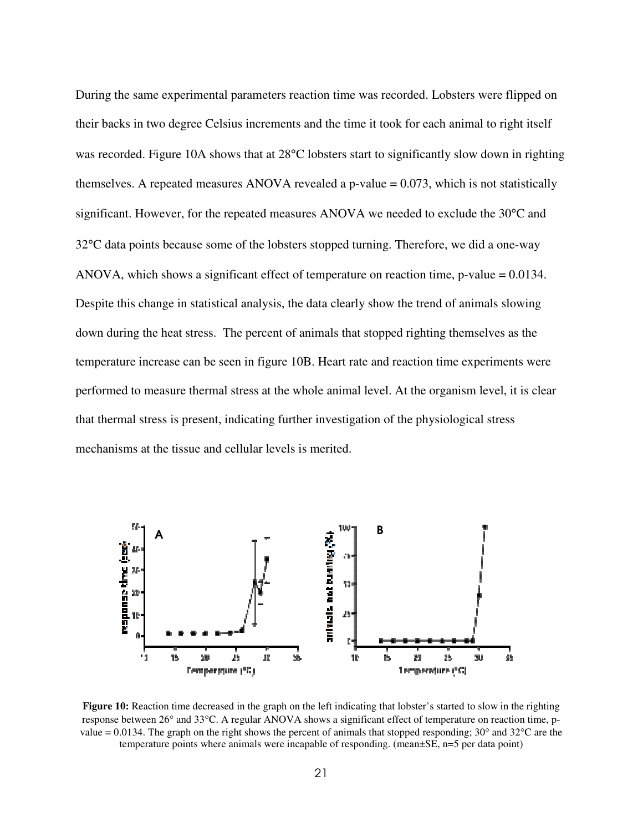During the same experimental parameters reaction time was recorded. Lobsters were flipped on their backs in two degree Celsius increments and the time it took for each animal to right itself was recorded. Figure 10A shows that at 28°C lobsters start to significantly slow down in righting themselves. A repeated measures ANOVA revealed a p-value  $= 0.073$ , which is not statistically significant. However, for the repeated measures ANOVA we needed to exclude the 30°C and 32°C data points because some of the lobsters stopped turning. Therefore, we did a one-way ANOVA, which shows a significant effect of temperature on reaction time, p-value = 0.0134. Despite this change in statistical analysis, the data clearly show the trend of animals slowing down during the heat stress. The percent of animals that stopped righting themselves as the temperature increase can be seen in figure 10B. Heart rate and reaction time experiments were performed to measure thermal stress at the whole animal level. At the organism level, it is clear that thermal stress is present, indicating further investigation of the physiological stress mechanisms at the tissue and cellular levels is merited.



**Figure 10:** Reaction time decreased in the graph on the left indicating that lobster's started to slow in the righting response between 26° and 33°C. A regular ANOVA shows a significant effect of temperature on reaction time, pvalue = 0.0134. The graph on the right shows the percent of animals that stopped responding;  $30^{\circ}$  and  $32^{\circ}$ C are the temperature points where animals were incapable of responding. (mean±SE, n=5 per data point)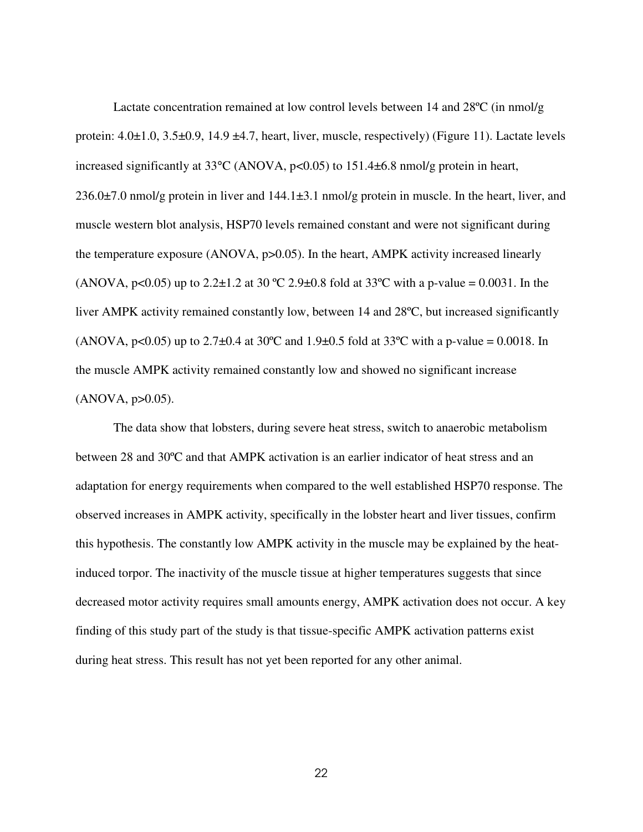Lactate concentration remained at low control levels between 14 and 28ºC (in nmol/g protein:  $4.0\pm1.0$ ,  $3.5\pm0.9$ ,  $14.9\pm4.7$ , heart, liver, muscle, respectively) (Figure 11). Lactate levels increased significantly at  $33^{\circ}$ C (ANOVA, p<0.05) to  $151.4\pm 6.8$  nmol/g protein in heart,  $236.0\pm7.0$  nmol/g protein in liver and  $144.1\pm3.1$  nmol/g protein in muscle. In the heart, liver, and muscle western blot analysis, HSP70 levels remained constant and were not significant during the temperature exposure (ANOVA, p>0.05). In the heart, AMPK activity increased linearly (ANOVA,  $p<0.05$ ) up to 2.2 $\pm$ 1.2 at 30 °C 2.9 $\pm$ 0.8 fold at 33°C with a p-value = 0.0031. In the liver AMPK activity remained constantly low, between 14 and 28ºC, but increased significantly (ANOVA, p<0.05) up to 2.7 $\pm$ 0.4 at 30°C and 1.9 $\pm$ 0.5 fold at 33°C with a p-value = 0.0018. In the muscle AMPK activity remained constantly low and showed no significant increase  $(ANOVA, p>0.05)$ .

The data show that lobsters, during severe heat stress, switch to anaerobic metabolism between 28 and 30ºC and that AMPK activation is an earlier indicator of heat stress and an adaptation for energy requirements when compared to the well established HSP70 response. The observed increases in AMPK activity, specifically in the lobster heart and liver tissues, confirm this hypothesis. The constantly low AMPK activity in the muscle may be explained by the heatinduced torpor. The inactivity of the muscle tissue at higher temperatures suggests that since decreased motor activity requires small amounts energy, AMPK activation does not occur. A key finding of this study part of the study is that tissue-specific AMPK activation patterns exist during heat stress. This result has not yet been reported for any other animal.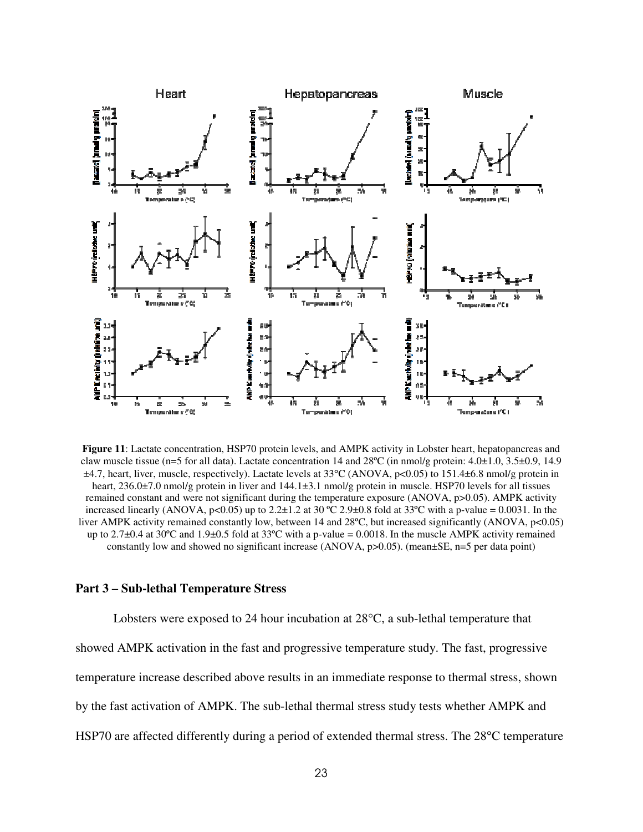

**Figure 11**: Lactate concentration, HSP70 protein levels, and AMPK activity in Lobster heart, hepatopancreas and claw muscle tissue (n=5 for all data). Lactate concentration 14 and 28ºC (in nmol/g protein: 4.0±1.0, 3.5±0.9, 14.9 ±4.7, heart, liver, muscle, respectively). Lactate levels at 33°C (ANOVA, p<0.05) to 151.4±6.8 nmol/g protein in heart, 236.0±7.0 nmol/g protein in liver and  $144.1\pm3.1$  nmol/g protein in muscle. HSP70 levels for all tissues remained constant and were not significant during the temperature exposure (ANOVA, p>0.05). AMPK activity increased linearly (ANOVA, p<0.05) up to 2.2 $\pm$ 1.2 at 30 °C 2.9 $\pm$ 0.8 fold at 33°C with a p-value = 0.0031. In the liver AMPK activity remained constantly low, between 14 and 28°C, but increased significantly (ANOVA, p<0.05) up to 2.7 $\pm$ 0.4 at 30°C and 1.9 $\pm$ 0.5 fold at 33°C with a p-value = 0.0018. In the muscle AMPK activity remained constantly low and showed no significant increase (ANOVA,  $p > 0.05$ ). (mean $\pm$ SE,  $n = 5$  per data point)

### **Part 3 – Sub-lethal Temperature Stress**

Lobsters were exposed to 24 hour incubation at 28°C, a sub-lethal temperature that showed AMPK activation in the fast and progressive temperature study. The fast, progressive temperature increase described above results in an immediate response to thermal stress, shown by the fast activation of AMPK. The sub-lethal thermal stress study tests whether AMPK and HSP70 are affected differently during a period of extended thermal stress. The 28°C temperature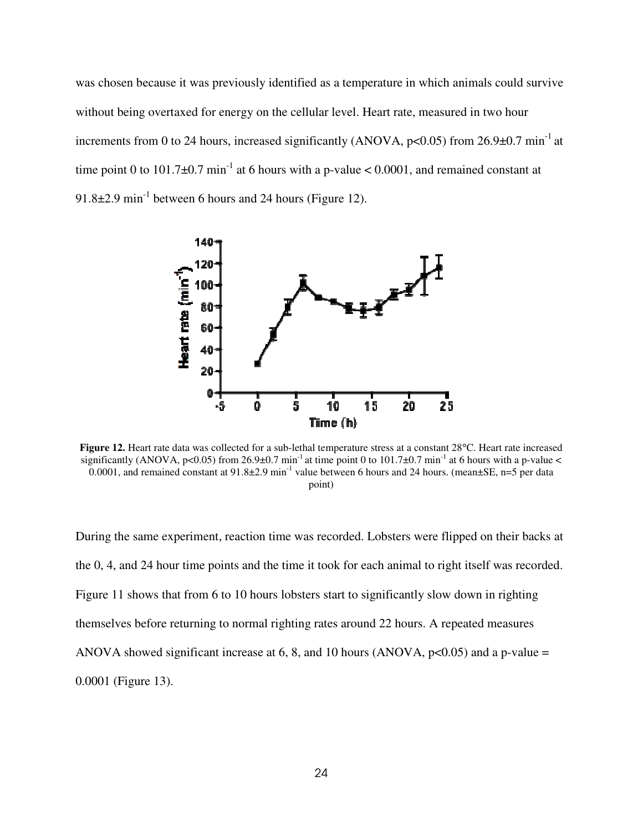was chosen because it was previously identified as a temperature in which animals could survive without being overtaxed for energy on the cellular level. Heart rate, measured in two hour increments from 0 to 24 hours, increased significantly (ANOVA,  $p<0.05$ ) from 26.9 $\pm$ 0.7 min<sup>-1</sup> at time point 0 to 101.7 $\pm$ 0.7 min<sup>-1</sup> at 6 hours with a p-value < 0.0001, and remained constant at 91.8 $\pm$ 2.9 min<sup>-1</sup> between 6 hours and 24 hours (Figure 12).



**Figure 12.** Heart rate data was collected for a sub-lethal temperature stress at a constant 28°C. Heart rate increased significantly (ANOVA, p<0.05) from 26.9±0.7 min<sup>-1</sup> at time point 0 to 101.7±0.7 min<sup>-1</sup> at 6 hours with a p-value < 0.0001, and remained constant at 91.8±2.9 min<sup>-1</sup> value between 6 hours and 24 hours. (mean±SE, n=5 per data 0.0001, point)

During the same experiment, reaction time was recorded. Lobsters were flipped on their backs at the 0, 4, and 24 hour time points and the time it took for each animal to right itself was recorded. Figure 11 shows that from 6 to 10 hours lobsters start to significantly slow down in righting themselves before returning to normal righting rates around 22 hours. A repeated measures ANOVA showed significant increase at 6, 8, and 10 hours (ANOVA,  $p \le 0.05$ ) and a p-value = 0.0001 (Figure 13).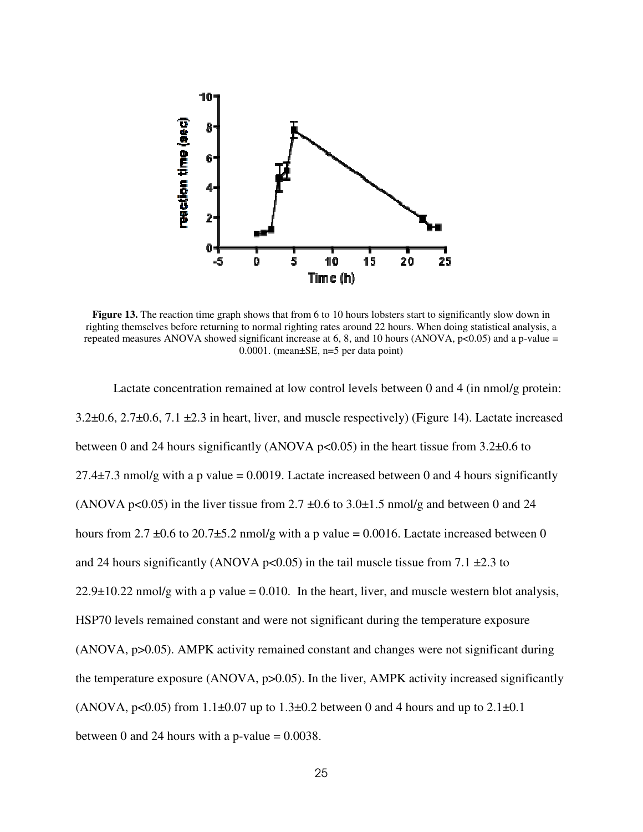

**Figure 13.** The reaction time graph shows that from 6 to 10 hours lobsters start to significantly slow down in righting themselves before returning to normal righting rates around 22 hours. When doing statistical analysis, a repeated measures ANOVA showed significant increase at 6, 8, and 10 hours (ANOVA,  $p<0.05$ ) and a p-value = 0.0001. (mean±SE, n=5 per data point)

Lactate concentration remained at low control levels between 0 and 4 (in nmol/g protein: 3.2±0.6, 2.7±0.6, 7.1 ±2.3 in heart, liver, and muscle respectively) (Figure 14). Lactate increased between 0 and 24 hours significantly (ANOVA p<0.05) in the heart tissue from  $3.2\pm0.6$  to 27.4 $\pm$ 7.3 nmol/g with a p value = 0.0019. Lactate increased between 0 and 4 hours significantly (ANOVA p<0.05) in the liver tissue from  $2.7 \pm 0.6$  to  $3.0 \pm 1.5$  nmol/g and between 0 and 24 hours from 2.7  $\pm$ 0.6 to 20.7 $\pm$ 5.2 nmol/g with a p value = 0.0016. Lactate increased between 0 and 24 hours significantly (ANOVA p<0.05) in the tail muscle tissue from 7.1  $\pm$ 2.3 to  $22.9\pm10.22$  nmol/g with a p value = 0.010. In the heart, liver, and muscle western blot analysis, HSP70 levels remained constant and were not significant during the temperature exposure (ANOVA, p>0.05). AMPK activity remained constant and changes were not significant during the temperature exposure (ANOVA, p>0.05). In the liver, AMPK activity increased significantly (ANOVA,  $p<0.05$ ) from 1.1 $\pm$ 0.07 up to 1.3 $\pm$ 0.2 between 0 and 4 hours and up to 2.1 $\pm$ 0.1 between 0 and 24 hours with a p-value  $= 0.0038$ .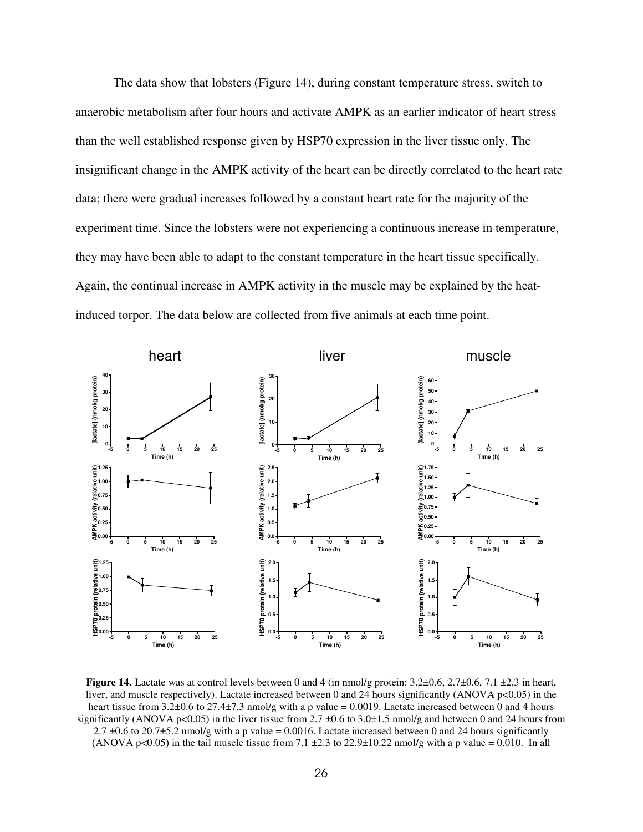The data show that lobsters (Figure 14), during constant temperature stress, switch to anaerobic metabolism after four hours and activate AMPK as an earlier indicator of heart stress than the well established response given by HSP70 expression in the liver tissue only. The insignificant change in the AMPK activity of the heart can be directly correlated to the heart rate data; there were gradual increases followed by a constant heart rate for the majority of the experiment time. Since the lobsters were not experiencing a continuous increase in temperature, they may have been able to adapt to the constant temperature in the heart tissue specifically. Again, the continual increase in AMPK activity in the muscle may be explained by the heatinduced torpor. The data below are collected from five animals at each time point.



**Figure 14.** Lactate was at control levels between 0 and 4 (in nmol/g protein:  $3.2\pm0.6$ ,  $2.7\pm0.6$ ,  $7.1\pm2.3$  in heart, liver, and muscle respectively). Lactate increased between 0 and 24 hours significantly (ANOVA p<0.05) in the heart tissue from 3.2±0.6 to 27.4±7.3 nmol/g with a p value = 0.0019. Lactate increased between 0 and 4 hours significantly (ANOVA p<0.05) in the liver tissue from 2.7  $\pm$ 0.6 to 3.0 $\pm$ 1.5 nmol/g and between 0 and 24 hours from 2.7  $\pm$ 0.6 to 20.7 $\pm$ 5.2 nmol/g with a p value = 0.0016. Lactate increased between 0 and 24 hours significantly (ANOVA p<0.05) in the tail muscle tissue from 7.1  $\pm$ 2.3 to 22.9 $\pm$ 10.22 nmol/g with a p value = 0.010. In all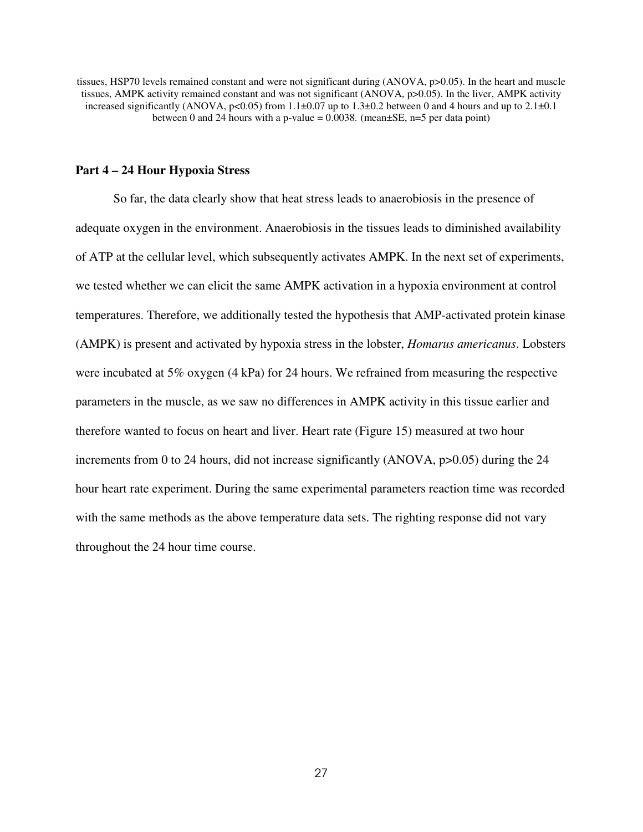tissues, HSP70 levels remained constant and were not significant during (ANOVA, p>0.05). In the heart and muscle tissues, AMPK activity remained constant and was not significant (ANOVA, p>0.05). In the liver, AMPK activity increased significantly (ANOVA, p<0.05) from  $1.1\pm0.07$  up to  $1.3\pm0.2$  between 0 and 4 hours and up to  $2.1\pm0.1$ between 0 and 24 hours with a p-value =  $0.0038$ . (mean $\pm$ SE, n=5 per data point)

### **Part 4 – 24 Hour Hypoxia Stress**

So far, the data clearly show that heat stress leads to anaerobiosis in the presence of adequate oxygen in the environment. Anaerobiosis in the tissues leads to diminished availability of ATP at the cellular level, which subsequently activates AMPK. In the next set of experiments, we tested whether we can elicit the same AMPK activation in a hypoxia environment at control temperatures. Therefore, we additionally tested the hypothesis that AMP-activated protein kinase (AMPK) is present and activated by hypoxia stress in the lobster, *Homarus americanus*. Lobsters were incubated at 5% oxygen (4 kPa) for 24 hours. We refrained from measuring the respective parameters in the muscle, as we saw no differences in AMPK activity in this tissue earlier and therefore wanted to focus on heart and liver. Heart rate (Figure 15) measured at two hour increments from 0 to 24 hours, did not increase significantly (ANOVA, p>0.05) during the 24 hour heart rate experiment. During the same experimental parameters reaction time was recorded with the same methods as the above temperature data sets. The righting response did not vary throughout the 24 hour time course.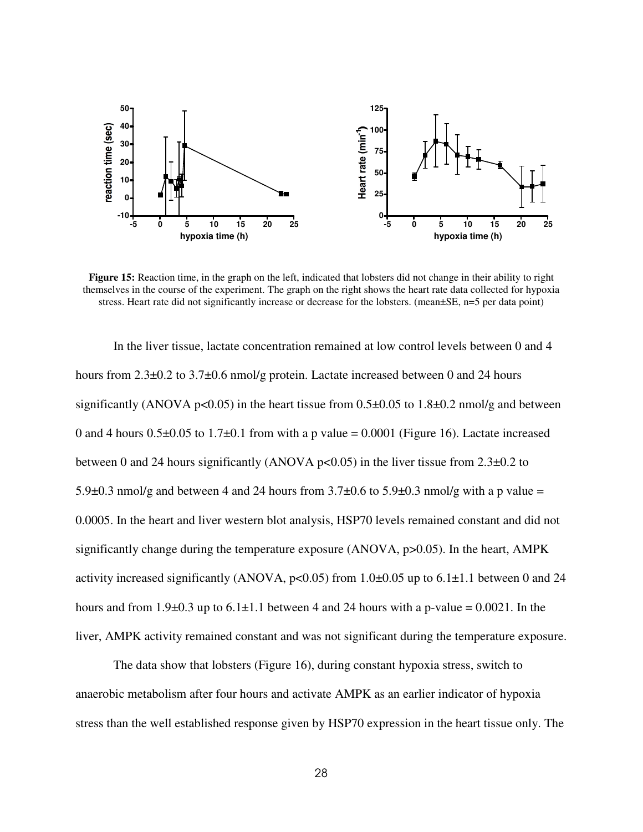

**Figure 15:** Reaction time, in the graph on the left, indicated that lobsters did not change in their ability to right themselves in the course of the experiment. The graph on the right shows the heart rate data collected for hypoxia stress. Heart rate did not significantly increase or decrease for the lobsters. (mean $\pm$ SE, n=5 per data point)

In the liver tissue, lactate concentration remained at low control levels between 0 and 4 hours from 2.3 $\pm$ 0.2 to 3.7 $\pm$ 0.6 nmol/g protein. Lactate increased between 0 and 24 hours significantly (ANOVA p<0.05) in the heart tissue from  $0.5\pm0.05$  to  $1.8\pm0.2$  nmol/g and between 0 and 4 hours  $0.5\pm0.05$  to  $1.7\pm0.1$  from with a p value = 0.0001 (Figure 16). Lactate increased between 0 and 24 hours significantly (ANOVA  $p<0.05$ ) in the liver tissue from 2.3 $\pm$ 0.2 to 5.9 $\pm$ 0.3 nmol/g and between 4 and 24 hours from 3.7 $\pm$ 0.6 to 5.9 $\pm$ 0.3 nmol/g with a p value = 0.0005. In the heart and liver western blot analysis, HSP70 levels remained constant and did not significantly change during the temperature exposure (ANOVA, p>0.05). In the heart, AMPK activity increased significantly (ANOVA,  $p<0.05$ ) from 1.0 $\pm$ 0.05 up to 6.1 $\pm$ 1.1 between 0 and 24 hours and from 1.9 $\pm$ 0.3 up to 6.1 $\pm$ 1.1 between 4 and 24 hours with a p-value = 0.0021. In the liver, AMPK activity remained constant and was not significant during the temperature exposure.

The data show that lobsters (Figure 16), during constant hypoxia stress, switch to anaerobic metabolism after four hours and activate AMPK as an earlier indicator of hypoxia stress than the well established response given by HSP70 expression in the heart tissue only. The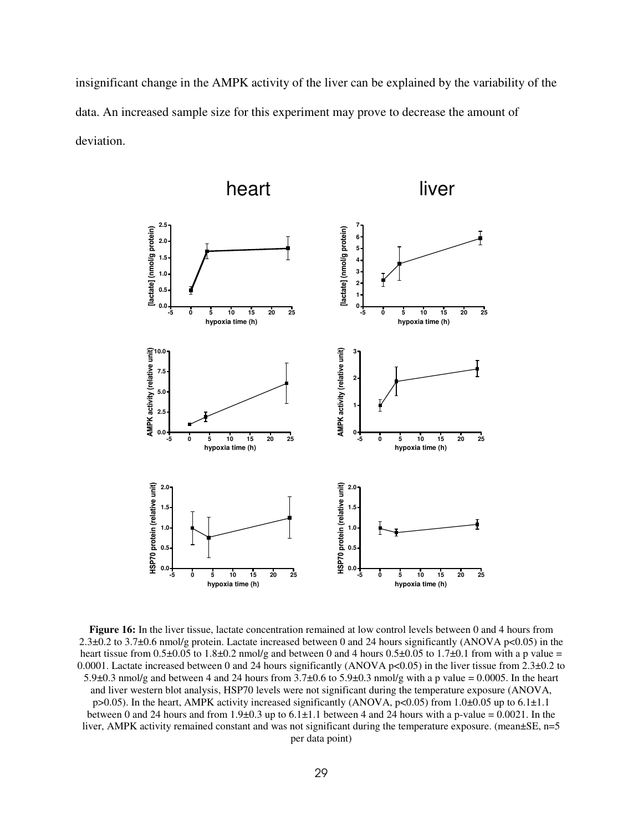insignificant change in the AMPK activity of the liver can be explained by the variability of the data. An increased sample size for this experiment may prove to decrease the amount of deviation.



**Figure 16:** In the liver tissue, lactate concentration remained at low control levels between 0 and 4 hours from 2.3±0.2 to 3.7±0.6 nmol/g protein. Lactate increased between 0 and 24 hours significantly (ANOVA p<0.05) in the heart tissue from 0.5 $\pm$ 0.05 to 1.8 $\pm$ 0.2 nmol/g and between 0 and 4 hours 0.5 $\pm$ 0.05 to 1.7 $\pm$ 0.1 from with a p value = 0.0001. Lactate increased between 0 and 24 hours significantly (ANOVA p<0.05) in the liver tissue from  $2.3\pm0.2$  to 5.9±0.3 nmol/g and between 4 and 24 hours from 3.7±0.6 to 5.9±0.3 nmol/g with a p value = 0.0005. In the heart and liver western blot analysis, HSP70 levels were not significant during the temperature exposure (ANOVA, p>0.05). In the heart, AMPK activity increased significantly (ANOVA, p<0.05) from 1.0±0.05 up to 6.1±1.1 between 0 and 24 hours and from  $1.9\pm0.3$  up to  $6.1\pm1.1$  between 4 and 24 hours with a p-value = 0.0021. In the liver, AMPK activity remained constant and was not significant during the temperature exposure. (mean $\pm$ SE, n=5 per data point)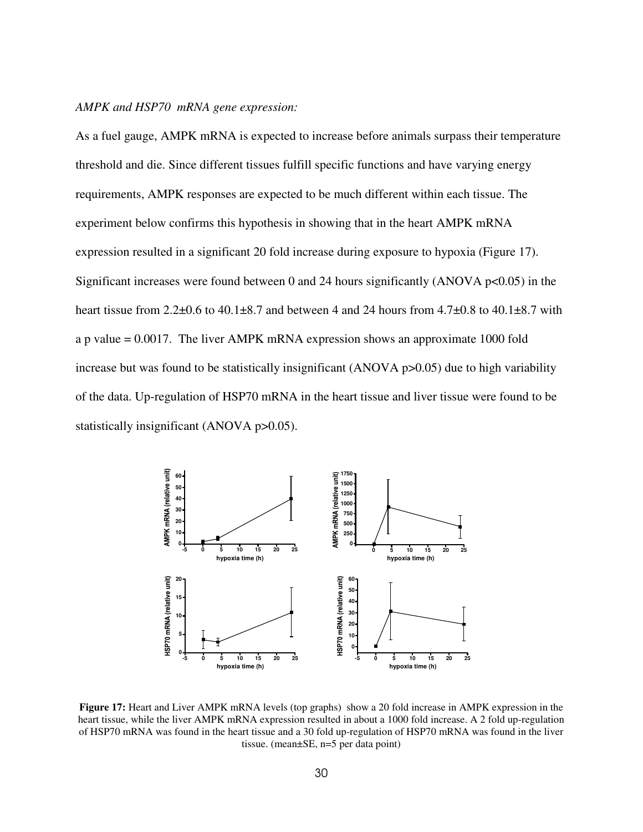### *AMPK and HSP70 mRNA gene expression:*

As a fuel gauge, AMPK mRNA is expected to increase before animals surpass their temperature threshold and die. Since different tissues fulfill specific functions and have varying energy requirements, AMPK responses are expected to be much different within each tissue. The experiment below confirms this hypothesis in showing that in the heart AMPK mRNA expression resulted in a significant 20 fold increase during exposure to hypoxia (Figure 17). Significant increases were found between 0 and 24 hours significantly (ANOVA  $p<0.05$ ) in the heart tissue from  $2.2\pm0.6$  to  $40.1\pm8.7$  and between 4 and 24 hours from  $4.7\pm0.8$  to  $40.1\pm8.7$  with a p value = 0.0017. The liver AMPK mRNA expression shows an approximate 1000 fold increase but was found to be statistically insignificant (ANOVA p>0.05) due to high variability of the data. Up-regulation of HSP70 mRNA in the heart tissue and liver tissue were found to be statistically insignificant (ANOVA p>0.05).



**Figure 17:** Heart and Liver AMPK mRNA levels (top graphs) show a 20 fold increase in AMPK expression in the heart tissue, while the liver AMPK mRNA expression resulted in about a 1000 fold increase. A 2 fold up-regulation of HSP70 mRNA was found in the heart tissue and a 30 fold up-regulation of HSP70 mRNA was found in the liver tissue. (mean±SE, n=5 per data point)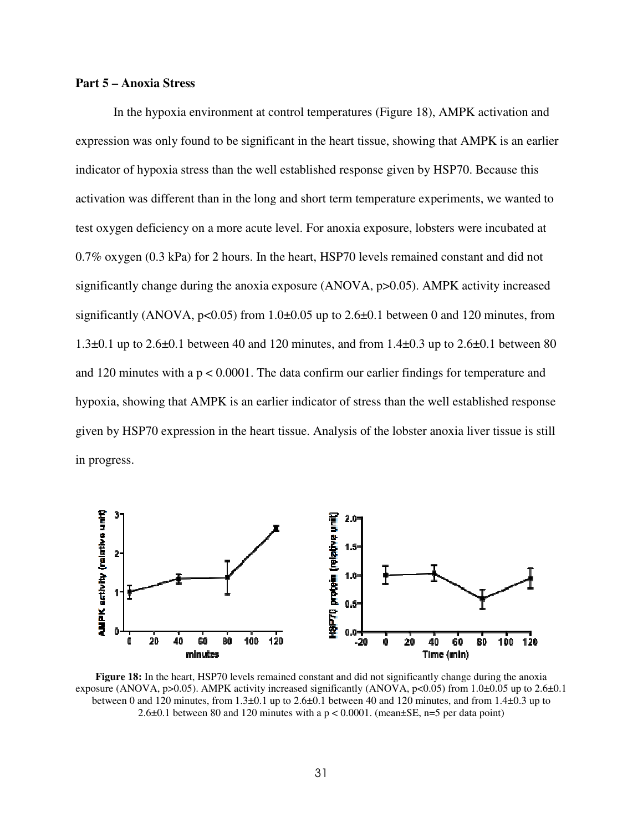### **Part 5 – Anoxia Stress**

 In the hypoxia environment at control temperatures (Figure 18), AMPK activation and expression was only found to be significant in the heart tissue, showing that AMPK is an earlier indicator of hypoxia stress than the well established response given by HSP70. Because this activation was different than in the long and short term temperature experiments, we wanted to test oxygen deficiency on a more acute level. For anoxia exposure, lobsters were incubated at 0.7% oxygen (0.3 kPa) for 2 hours. In the heart, HSP70 levels remained constant and did not significantly change during the anoxia exposure (ANOVA, p>0.05). AMPK activity increased significantly (ANOVA,  $p<0.05$ ) from 1.0 $\pm$ 0.05 up to 2.6 $\pm$ 0.1 between 0 and 120 minutes, from 1.3 $\pm$ 0.1 up to 2.6 $\pm$ 0.1 between 40 and 120 minutes, and from 1.4 $\pm$ 0.3 up to 2.6 $\pm$ 0.1 between 80 and 120 minutes with a  $p < 0.0001$ . The data confirm our earlier findings for temperature and hypoxia, showing that AMPK is an earlier indicator of stress than the well established response given by HSP70 expression in the heart tissue. Analysis of the lobster anoxia liver tissue is still in progress.



**Figure 18:** In the heart, HSP70 levels remained constant and did not significantly change during the anoxia exposure (ANOVA, p>0.05). AMPK activity increased significantly (ANOVA, p<0.05) from 1.0±0.05 up to 2.6±0.1 between 0 and 120 minutes, from 1.3±0.1 up to 2.6±0.1 between 40 and 120 minutes, and from 1.4±0.3 up to 2.6 $\pm$ 0.1 between 80 and 120 minutes with a p < 0.0001. (mean $\pm$ SE, n=5 per data point)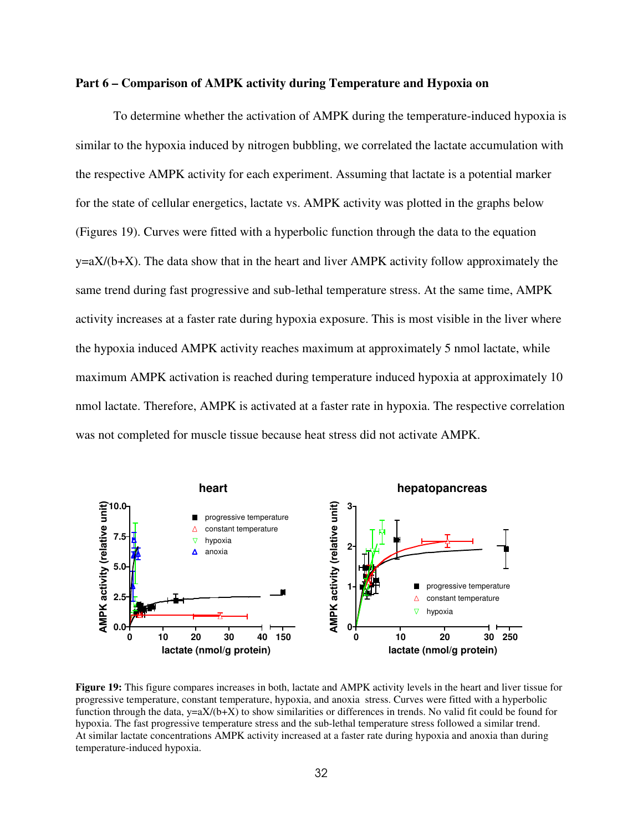### **Part 6 – Comparison of AMPK activity during Temperature and Hypoxia on**

 To determine whether the activation of AMPK during the temperature-induced hypoxia is similar to the hypoxia induced by nitrogen bubbling, we correlated the lactate accumulation with the respective AMPK activity for each experiment. Assuming that lactate is a potential marker for the state of cellular energetics, lactate vs. AMPK activity was plotted in the graphs below (Figures 19). Curves were fitted with a hyperbolic function through the data to the equation  $y=aX/(b+X)$ . The data show that in the heart and liver AMPK activity follow approximately the same trend during fast progressive and sub-lethal temperature stress. At the same time, AMPK activity increases at a faster rate during hypoxia exposure. This is most visible in the liver where the hypoxia induced AMPK activity reaches maximum at approximately 5 nmol lactate, while maximum AMPK activation is reached during temperature induced hypoxia at approximately 10 nmol lactate. Therefore, AMPK is activated at a faster rate in hypoxia. The respective correlation was not completed for muscle tissue because heat stress did not activate AMPK.



**Figure 19:** This figure compares increases in both, lactate and AMPK activity levels in the heart and liver tissue for progressive temperature, constant temperature, hypoxia, and anoxia stress. Curves were fitted with a hyperbolic function through the data,  $y=aX/(b+X)$  to show similarities or differences in trends. No valid fit could be found for hypoxia. The fast progressive temperature stress and the sub-lethal temperature stress followed a similar trend. At similar lactate concentrations AMPK activity increased at a faster rate during hypoxia and anoxia than during temperature-induced hypoxia.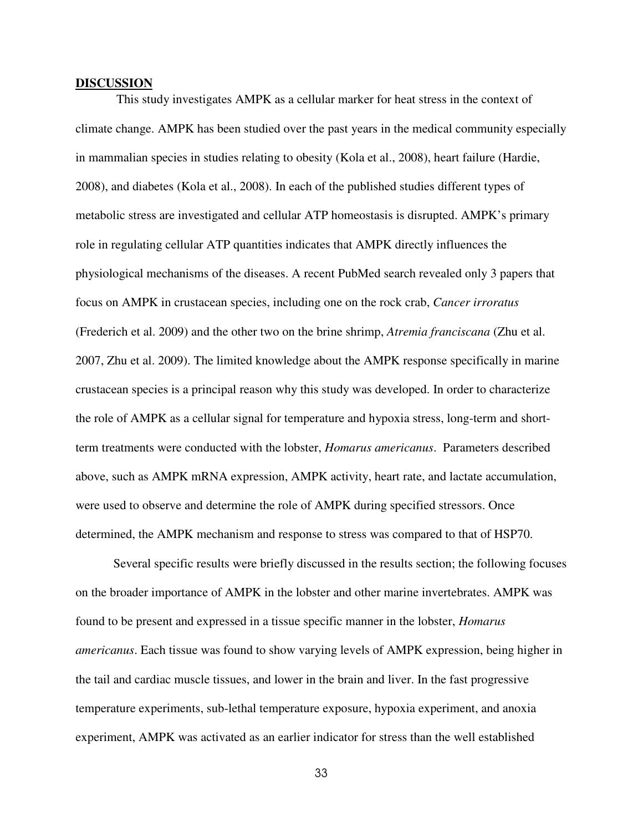### **DISCUSSION**

 This study investigates AMPK as a cellular marker for heat stress in the context of climate change. AMPK has been studied over the past years in the medical community especially in mammalian species in studies relating to obesity (Kola et al., 2008), heart failure (Hardie, 2008), and diabetes (Kola et al., 2008). In each of the published studies different types of metabolic stress are investigated and cellular ATP homeostasis is disrupted. AMPK's primary role in regulating cellular ATP quantities indicates that AMPK directly influences the physiological mechanisms of the diseases. A recent PubMed search revealed only 3 papers that focus on AMPK in crustacean species, including one on the rock crab, *Cancer irroratus* (Frederich et al. 2009) and the other two on the brine shrimp, *Atremia franciscana* (Zhu et al. 2007, Zhu et al. 2009). The limited knowledge about the AMPK response specifically in marine crustacean species is a principal reason why this study was developed. In order to characterize the role of AMPK as a cellular signal for temperature and hypoxia stress, long-term and shortterm treatments were conducted with the lobster, *Homarus americanus*. Parameters described above, such as AMPK mRNA expression, AMPK activity, heart rate, and lactate accumulation, were used to observe and determine the role of AMPK during specified stressors. Once determined, the AMPK mechanism and response to stress was compared to that of HSP70.

 Several specific results were briefly discussed in the results section; the following focuses on the broader importance of AMPK in the lobster and other marine invertebrates. AMPK was found to be present and expressed in a tissue specific manner in the lobster, *Homarus americanus*. Each tissue was found to show varying levels of AMPK expression, being higher in the tail and cardiac muscle tissues, and lower in the brain and liver. In the fast progressive temperature experiments, sub-lethal temperature exposure, hypoxia experiment, and anoxia experiment, AMPK was activated as an earlier indicator for stress than the well established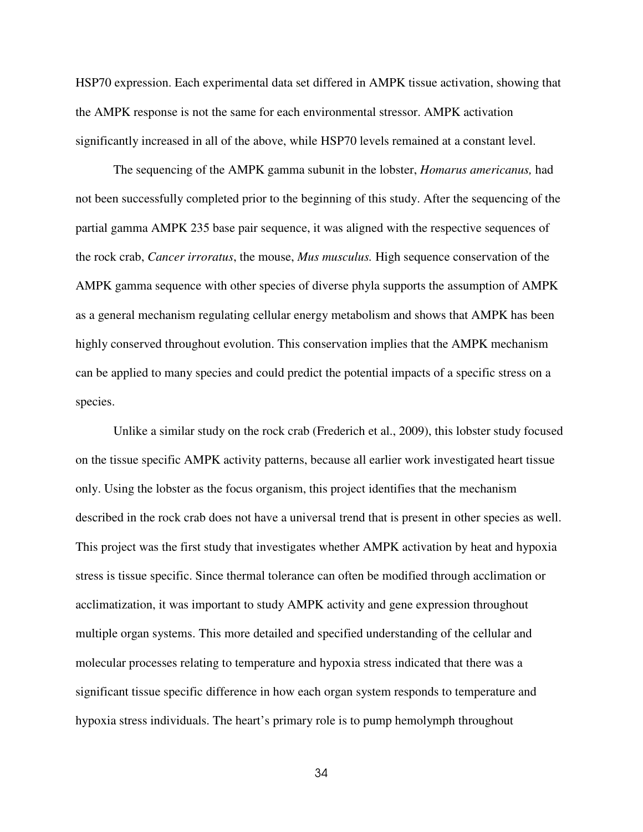HSP70 expression. Each experimental data set differed in AMPK tissue activation, showing that the AMPK response is not the same for each environmental stressor. AMPK activation significantly increased in all of the above, while HSP70 levels remained at a constant level.

The sequencing of the AMPK gamma subunit in the lobster, *Homarus americanus,* had not been successfully completed prior to the beginning of this study. After the sequencing of the partial gamma AMPK 235 base pair sequence, it was aligned with the respective sequences of the rock crab, *Cancer irroratus*, the mouse, *Mus musculus.* High sequence conservation of the AMPK gamma sequence with other species of diverse phyla supports the assumption of AMPK as a general mechanism regulating cellular energy metabolism and shows that AMPK has been highly conserved throughout evolution. This conservation implies that the AMPK mechanism can be applied to many species and could predict the potential impacts of a specific stress on a species.

Unlike a similar study on the rock crab (Frederich et al., 2009), this lobster study focused on the tissue specific AMPK activity patterns, because all earlier work investigated heart tissue only. Using the lobster as the focus organism, this project identifies that the mechanism described in the rock crab does not have a universal trend that is present in other species as well. This project was the first study that investigates whether AMPK activation by heat and hypoxia stress is tissue specific. Since thermal tolerance can often be modified through acclimation or acclimatization, it was important to study AMPK activity and gene expression throughout multiple organ systems. This more detailed and specified understanding of the cellular and molecular processes relating to temperature and hypoxia stress indicated that there was a significant tissue specific difference in how each organ system responds to temperature and hypoxia stress individuals. The heart's primary role is to pump hemolymph throughout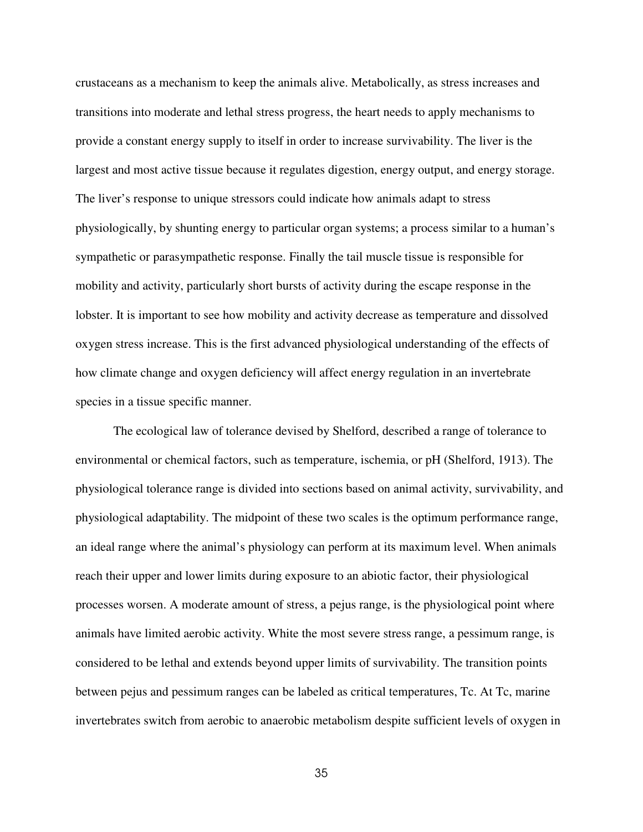crustaceans as a mechanism to keep the animals alive. Metabolically, as stress increases and transitions into moderate and lethal stress progress, the heart needs to apply mechanisms to provide a constant energy supply to itself in order to increase survivability. The liver is the largest and most active tissue because it regulates digestion, energy output, and energy storage. The liver's response to unique stressors could indicate how animals adapt to stress physiologically, by shunting energy to particular organ systems; a process similar to a human's sympathetic or parasympathetic response. Finally the tail muscle tissue is responsible for mobility and activity, particularly short bursts of activity during the escape response in the lobster. It is important to see how mobility and activity decrease as temperature and dissolved oxygen stress increase. This is the first advanced physiological understanding of the effects of how climate change and oxygen deficiency will affect energy regulation in an invertebrate species in a tissue specific manner.

The ecological law of tolerance devised by Shelford, described a range of tolerance to environmental or chemical factors, such as temperature, ischemia, or pH (Shelford, 1913). The physiological tolerance range is divided into sections based on animal activity, survivability, and physiological adaptability. The midpoint of these two scales is the optimum performance range, an ideal range where the animal's physiology can perform at its maximum level. When animals reach their upper and lower limits during exposure to an abiotic factor, their physiological processes worsen. A moderate amount of stress, a pejus range, is the physiological point where animals have limited aerobic activity. White the most severe stress range, a pessimum range, is considered to be lethal and extends beyond upper limits of survivability. The transition points between pejus and pessimum ranges can be labeled as critical temperatures, Tc. At Tc, marine invertebrates switch from aerobic to anaerobic metabolism despite sufficient levels of oxygen in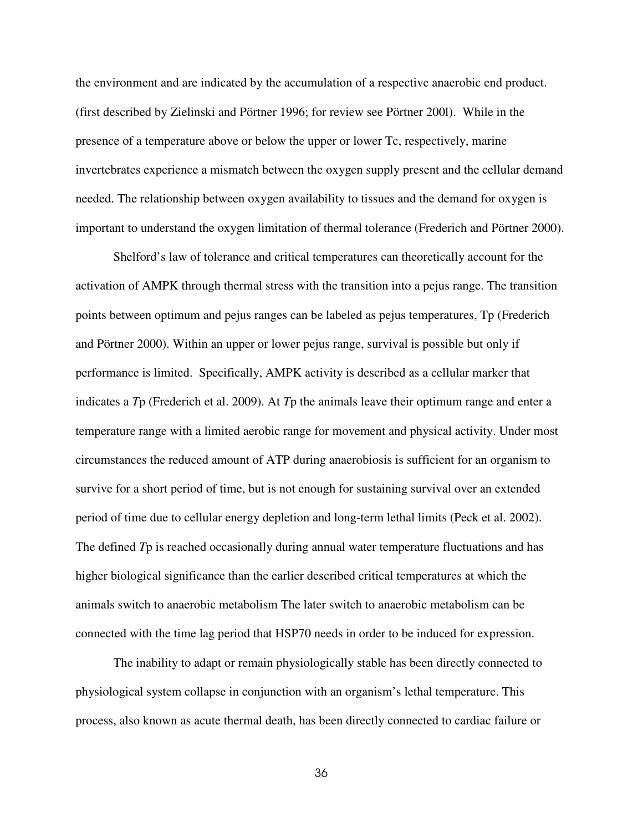the environment and are indicated by the accumulation of a respective anaerobic end product. (first described by Zielinski and Pörtner 1996; for review see Pörtner 200l). While in the presence of a temperature above or below the upper or lower Tc, respectively, marine invertebrates experience a mismatch between the oxygen supply present and the cellular demand needed. The relationship between oxygen availability to tissues and the demand for oxygen is important to understand the oxygen limitation of thermal tolerance (Frederich and Pörtner 2000).

Shelford's law of tolerance and critical temperatures can theoretically account for the activation of AMPK through thermal stress with the transition into a pejus range. The transition points between optimum and pejus ranges can be labeled as pejus temperatures, Tp (Frederich and Pörtner 2000). Within an upper or lower pejus range, survival is possible but only if performance is limited. Specifically, AMPK activity is described as a cellular marker that indicates a *T*p (Frederich et al. 2009). At *T*p the animals leave their optimum range and enter a temperature range with a limited aerobic range for movement and physical activity. Under most circumstances the reduced amount of ATP during anaerobiosis is sufficient for an organism to survive for a short period of time, but is not enough for sustaining survival over an extended period of time due to cellular energy depletion and long-term lethal limits (Peck et al. 2002). The defined *T*p is reached occasionally during annual water temperature fluctuations and has higher biological significance than the earlier described critical temperatures at which the animals switch to anaerobic metabolism The later switch to anaerobic metabolism can be connected with the time lag period that HSP70 needs in order to be induced for expression.

The inability to adapt or remain physiologically stable has been directly connected to physiological system collapse in conjunction with an organism's lethal temperature. This process, also known as acute thermal death, has been directly connected to cardiac failure or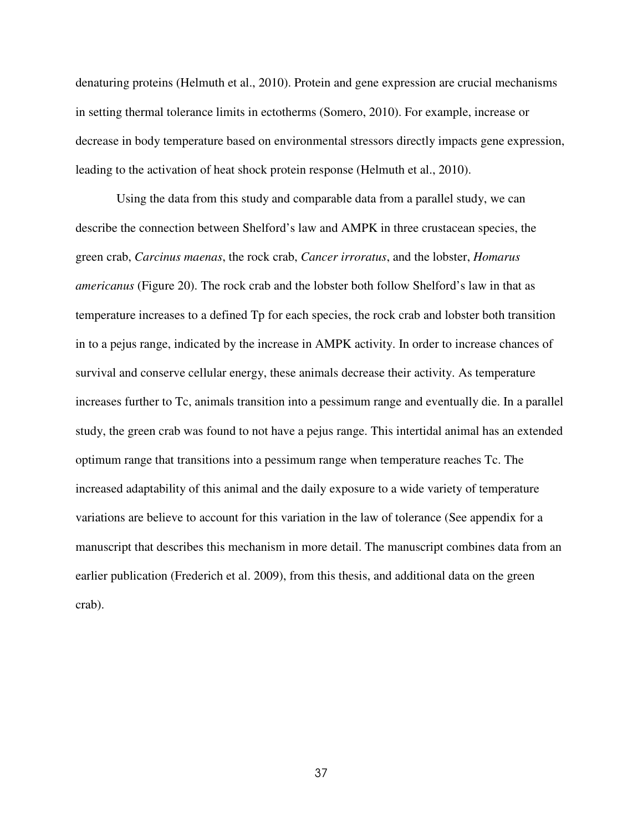denaturing proteins (Helmuth et al., 2010). Protein and gene expression are crucial mechanisms in setting thermal tolerance limits in ectotherms (Somero, 2010). For example, increase or decrease in body temperature based on environmental stressors directly impacts gene expression, leading to the activation of heat shock protein response (Helmuth et al., 2010).

 Using the data from this study and comparable data from a parallel study, we can describe the connection between Shelford's law and AMPK in three crustacean species, the green crab, *Carcinus maenas*, the rock crab, *Cancer irroratus*, and the lobster, *Homarus americanus* (Figure 20). The rock crab and the lobster both follow Shelford's law in that as temperature increases to a defined Tp for each species, the rock crab and lobster both transition in to a pejus range, indicated by the increase in AMPK activity. In order to increase chances of survival and conserve cellular energy, these animals decrease their activity. As temperature increases further to Tc, animals transition into a pessimum range and eventually die. In a parallel study, the green crab was found to not have a pejus range. This intertidal animal has an extended optimum range that transitions into a pessimum range when temperature reaches Tc. The increased adaptability of this animal and the daily exposure to a wide variety of temperature variations are believe to account for this variation in the law of tolerance (See appendix for a manuscript that describes this mechanism in more detail. The manuscript combines data from an earlier publication (Frederich et al. 2009), from this thesis, and additional data on the green crab).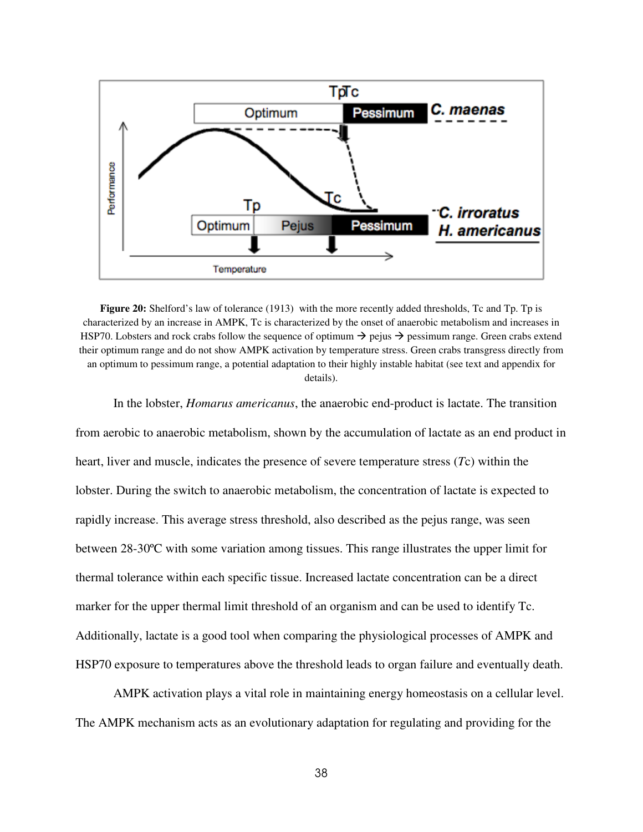

**Figure 20:** Shelford's law of tolerance (1913) with the more recently added thresholds, Tc and Tp. Tp is characterized by an increase in AMPK, Tc is characterized by the onset of anaerobic metabolism and increases in HSP70. Lobsters and rock crabs follow the sequence of optimum  $\rightarrow$  pejus  $\rightarrow$  pessimum range. Green crabs extend their optimum range and do not show AMPK activation by temperature stress. Green crabs transgress directly from an optimum to pessimum range, a potential adaptation to their highly instable habitat (see text and appendix for details).

In the lobster, *Homarus americanus*, the anaerobic end-product is lactate. The transition from aerobic to anaerobic metabolism, shown by the accumulation of lactate as an end product in heart, liver and muscle, indicates the presence of severe temperature stress (*T*c) within the lobster. During the switch to anaerobic metabolism, the concentration of lactate is expected to rapidly increase. This average stress threshold, also described as the pejus range, was seen between 28-30ºC with some variation among tissues. This range illustrates the upper limit for thermal tolerance within each specific tissue. Increased lactate concentration can be a direct marker for the upper thermal limit threshold of an organism and can be used to identify Tc. Additionally, lactate is a good tool when comparing the physiological processes of AMPK and HSP70 exposure to temperatures above the threshold leads to organ failure and eventually death.

AMPK activation plays a vital role in maintaining energy homeostasis on a cellular level. The AMPK mechanism acts as an evolutionary adaptation for regulating and providing for the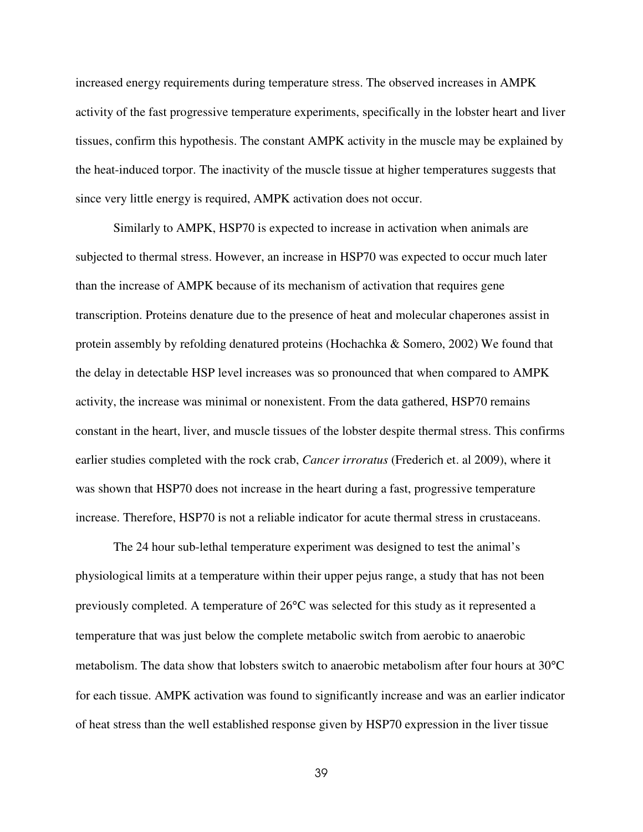increased energy requirements during temperature stress. The observed increases in AMPK activity of the fast progressive temperature experiments, specifically in the lobster heart and liver tissues, confirm this hypothesis. The constant AMPK activity in the muscle may be explained by the heat-induced torpor. The inactivity of the muscle tissue at higher temperatures suggests that since very little energy is required, AMPK activation does not occur.

Similarly to AMPK, HSP70 is expected to increase in activation when animals are subjected to thermal stress. However, an increase in HSP70 was expected to occur much later than the increase of AMPK because of its mechanism of activation that requires gene transcription. Proteins denature due to the presence of heat and molecular chaperones assist in protein assembly by refolding denatured proteins (Hochachka & Somero, 2002) We found that the delay in detectable HSP level increases was so pronounced that when compared to AMPK activity, the increase was minimal or nonexistent. From the data gathered, HSP70 remains constant in the heart, liver, and muscle tissues of the lobster despite thermal stress. This confirms earlier studies completed with the rock crab, *Cancer irroratus* (Frederich et. al 2009), where it was shown that HSP70 does not increase in the heart during a fast, progressive temperature increase. Therefore, HSP70 is not a reliable indicator for acute thermal stress in crustaceans.

The 24 hour sub-lethal temperature experiment was designed to test the animal's physiological limits at a temperature within their upper pejus range, a study that has not been previously completed. A temperature of 26°C was selected for this study as it represented a temperature that was just below the complete metabolic switch from aerobic to anaerobic metabolism. The data show that lobsters switch to anaerobic metabolism after four hours at 30°C for each tissue. AMPK activation was found to significantly increase and was an earlier indicator of heat stress than the well established response given by HSP70 expression in the liver tissue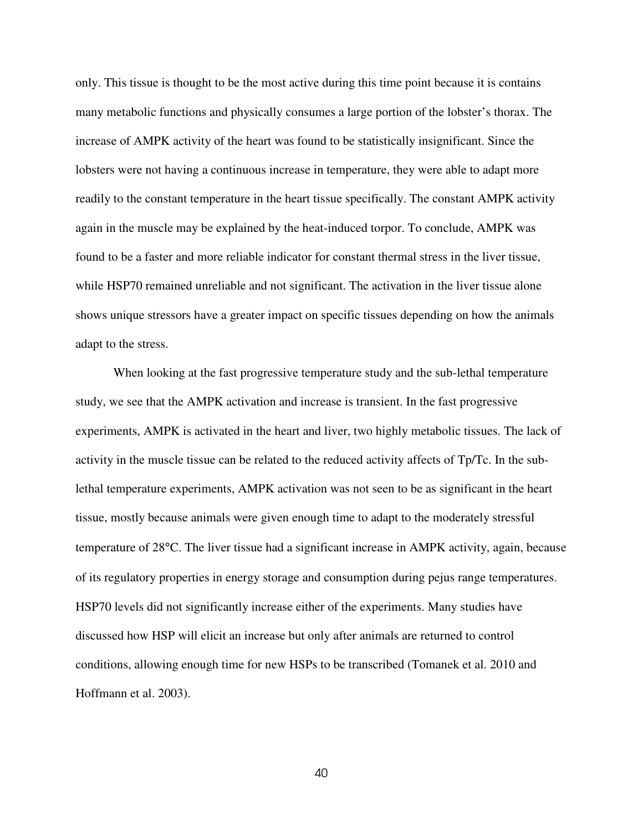only. This tissue is thought to be the most active during this time point because it is contains many metabolic functions and physically consumes a large portion of the lobster's thorax. The increase of AMPK activity of the heart was found to be statistically insignificant. Since the lobsters were not having a continuous increase in temperature, they were able to adapt more readily to the constant temperature in the heart tissue specifically. The constant AMPK activity again in the muscle may be explained by the heat-induced torpor. To conclude, AMPK was found to be a faster and more reliable indicator for constant thermal stress in the liver tissue, while HSP70 remained unreliable and not significant. The activation in the liver tissue alone shows unique stressors have a greater impact on specific tissues depending on how the animals adapt to the stress.

When looking at the fast progressive temperature study and the sub-lethal temperature study, we see that the AMPK activation and increase is transient. In the fast progressive experiments, AMPK is activated in the heart and liver, two highly metabolic tissues. The lack of activity in the muscle tissue can be related to the reduced activity affects of Tp/Tc. In the sublethal temperature experiments, AMPK activation was not seen to be as significant in the heart tissue, mostly because animals were given enough time to adapt to the moderately stressful temperature of 28°C. The liver tissue had a significant increase in AMPK activity, again, because of its regulatory properties in energy storage and consumption during pejus range temperatures. HSP70 levels did not significantly increase either of the experiments. Many studies have discussed how HSP will elicit an increase but only after animals are returned to control conditions, allowing enough time for new HSPs to be transcribed (Tomanek et al. 2010 and Hoffmann et al. 2003).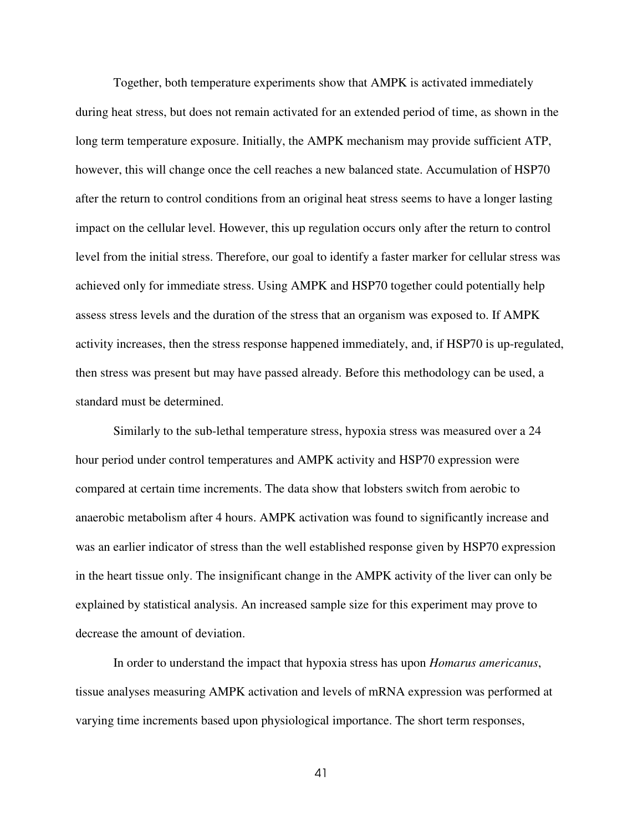Together, both temperature experiments show that AMPK is activated immediately during heat stress, but does not remain activated for an extended period of time, as shown in the long term temperature exposure. Initially, the AMPK mechanism may provide sufficient ATP, however, this will change once the cell reaches a new balanced state. Accumulation of HSP70 after the return to control conditions from an original heat stress seems to have a longer lasting impact on the cellular level. However, this up regulation occurs only after the return to control level from the initial stress. Therefore, our goal to identify a faster marker for cellular stress was achieved only for immediate stress. Using AMPK and HSP70 together could potentially help assess stress levels and the duration of the stress that an organism was exposed to. If AMPK activity increases, then the stress response happened immediately, and, if HSP70 is up-regulated, then stress was present but may have passed already. Before this methodology can be used, a standard must be determined.

Similarly to the sub-lethal temperature stress, hypoxia stress was measured over a 24 hour period under control temperatures and AMPK activity and HSP70 expression were compared at certain time increments. The data show that lobsters switch from aerobic to anaerobic metabolism after 4 hours. AMPK activation was found to significantly increase and was an earlier indicator of stress than the well established response given by HSP70 expression in the heart tissue only. The insignificant change in the AMPK activity of the liver can only be explained by statistical analysis. An increased sample size for this experiment may prove to decrease the amount of deviation.

In order to understand the impact that hypoxia stress has upon *Homarus americanus*, tissue analyses measuring AMPK activation and levels of mRNA expression was performed at varying time increments based upon physiological importance. The short term responses,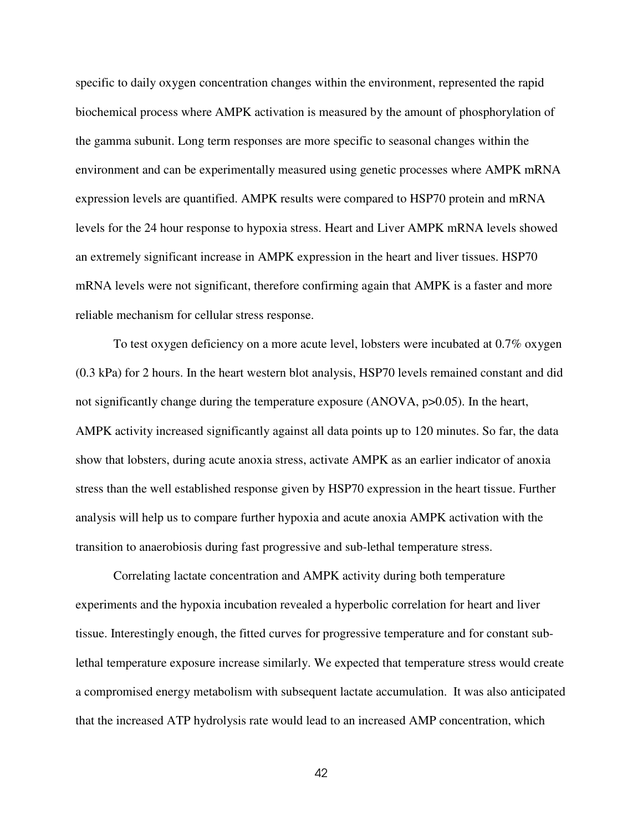specific to daily oxygen concentration changes within the environment, represented the rapid biochemical process where AMPK activation is measured by the amount of phosphorylation of the gamma subunit. Long term responses are more specific to seasonal changes within the environment and can be experimentally measured using genetic processes where AMPK mRNA expression levels are quantified. AMPK results were compared to HSP70 protein and mRNA levels for the 24 hour response to hypoxia stress. Heart and Liver AMPK mRNA levels showed an extremely significant increase in AMPK expression in the heart and liver tissues. HSP70 mRNA levels were not significant, therefore confirming again that AMPK is a faster and more reliable mechanism for cellular stress response.

To test oxygen deficiency on a more acute level, lobsters were incubated at 0.7% oxygen (0.3 kPa) for 2 hours. In the heart western blot analysis, HSP70 levels remained constant and did not significantly change during the temperature exposure (ANOVA, p>0.05). In the heart, AMPK activity increased significantly against all data points up to 120 minutes. So far, the data show that lobsters, during acute anoxia stress, activate AMPK as an earlier indicator of anoxia stress than the well established response given by HSP70 expression in the heart tissue. Further analysis will help us to compare further hypoxia and acute anoxia AMPK activation with the transition to anaerobiosis during fast progressive and sub-lethal temperature stress.

 Correlating lactate concentration and AMPK activity during both temperature experiments and the hypoxia incubation revealed a hyperbolic correlation for heart and liver tissue. Interestingly enough, the fitted curves for progressive temperature and for constant sublethal temperature exposure increase similarly. We expected that temperature stress would create a compromised energy metabolism with subsequent lactate accumulation. It was also anticipated that the increased ATP hydrolysis rate would lead to an increased AMP concentration, which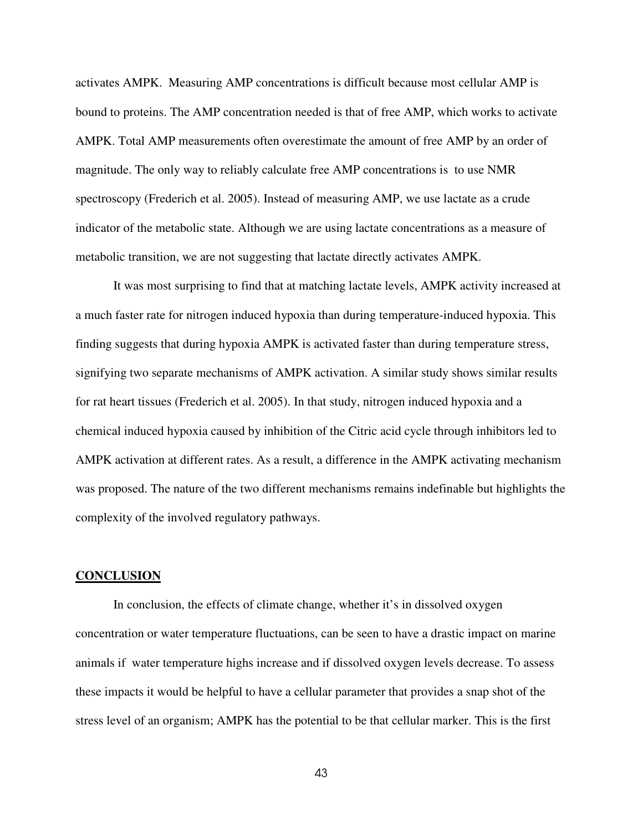activates AMPK. Measuring AMP concentrations is difficult because most cellular AMP is bound to proteins. The AMP concentration needed is that of free AMP, which works to activate AMPK. Total AMP measurements often overestimate the amount of free AMP by an order of magnitude. The only way to reliably calculate free AMP concentrations is to use NMR spectroscopy (Frederich et al. 2005). Instead of measuring AMP, we use lactate as a crude indicator of the metabolic state. Although we are using lactate concentrations as a measure of metabolic transition, we are not suggesting that lactate directly activates AMPK.

It was most surprising to find that at matching lactate levels, AMPK activity increased at a much faster rate for nitrogen induced hypoxia than during temperature-induced hypoxia. This finding suggests that during hypoxia AMPK is activated faster than during temperature stress, signifying two separate mechanisms of AMPK activation. A similar study shows similar results for rat heart tissues (Frederich et al. 2005). In that study, nitrogen induced hypoxia and a chemical induced hypoxia caused by inhibition of the Citric acid cycle through inhibitors led to AMPK activation at different rates. As a result, a difference in the AMPK activating mechanism was proposed. The nature of the two different mechanisms remains indefinable but highlights the complexity of the involved regulatory pathways.

### **CONCLUSION**

 In conclusion, the effects of climate change, whether it's in dissolved oxygen concentration or water temperature fluctuations, can be seen to have a drastic impact on marine animals if water temperature highs increase and if dissolved oxygen levels decrease. To assess these impacts it would be helpful to have a cellular parameter that provides a snap shot of the stress level of an organism; AMPK has the potential to be that cellular marker. This is the first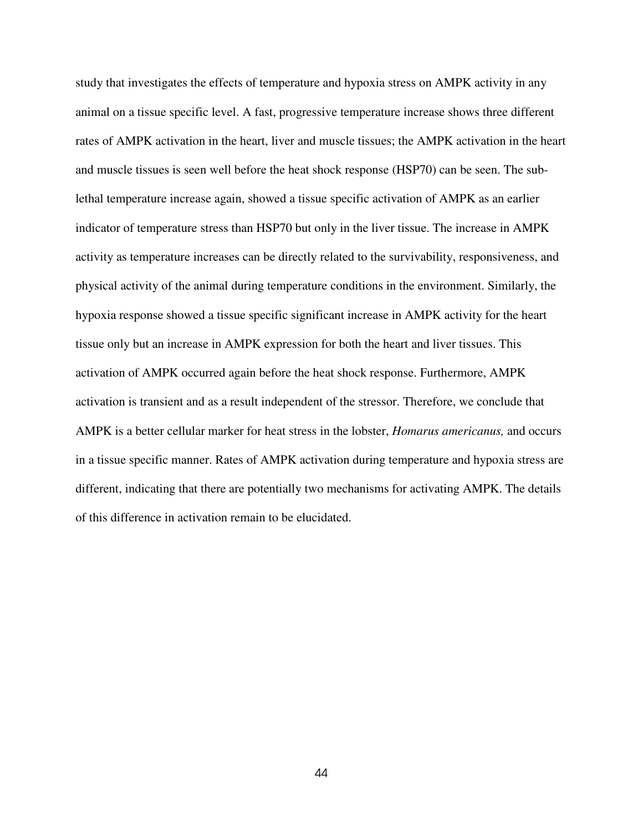study that investigates the effects of temperature and hypoxia stress on AMPK activity in any animal on a tissue specific level. A fast, progressive temperature increase shows three different rates of AMPK activation in the heart, liver and muscle tissues; the AMPK activation in the heart and muscle tissues is seen well before the heat shock response (HSP70) can be seen. The sublethal temperature increase again, showed a tissue specific activation of AMPK as an earlier indicator of temperature stress than HSP70 but only in the liver tissue. The increase in AMPK activity as temperature increases can be directly related to the survivability, responsiveness, and physical activity of the animal during temperature conditions in the environment. Similarly, the hypoxia response showed a tissue specific significant increase in AMPK activity for the heart tissue only but an increase in AMPK expression for both the heart and liver tissues. This activation of AMPK occurred again before the heat shock response. Furthermore, AMPK activation is transient and as a result independent of the stressor. Therefore, we conclude that AMPK is a better cellular marker for heat stress in the lobster, *Homarus americanus,* and occurs in a tissue specific manner. Rates of AMPK activation during temperature and hypoxia stress are different, indicating that there are potentially two mechanisms for activating AMPK. The details of this difference in activation remain to be elucidated.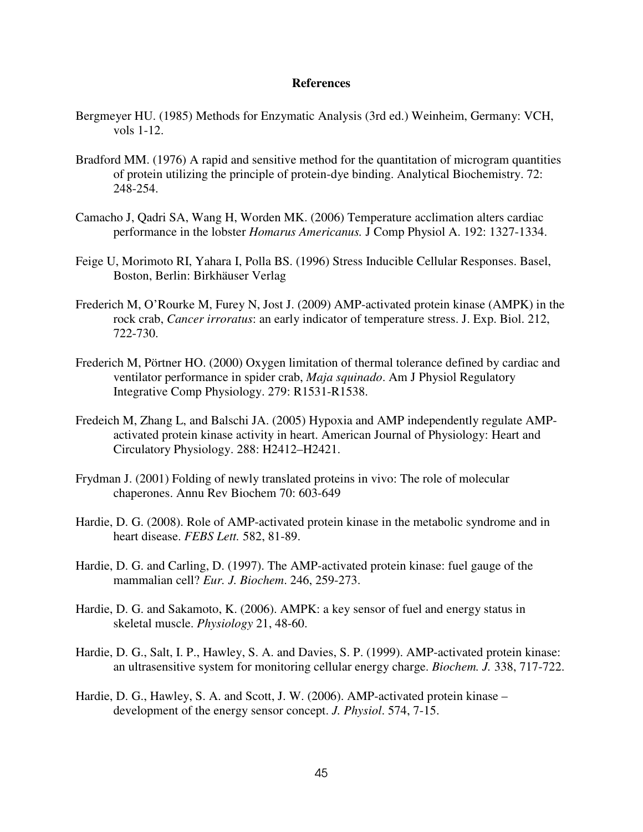### **References**

- Bergmeyer HU. (1985) Methods for Enzymatic Analysis (3rd ed.) Weinheim, Germany: VCH, vols 1-12.
- Bradford MM. (1976) A rapid and sensitive method for the quantitation of microgram quantities of protein utilizing the principle of protein-dye binding. Analytical Biochemistry. 72: 248-254.
- Camacho J, Qadri SA, Wang H, Worden MK. (2006) Temperature acclimation alters cardiac performance in the lobster *Homarus Americanus.* J Comp Physiol A. 192: 1327-1334.
- Feige U, Morimoto RI, Yahara I, Polla BS. (1996) Stress Inducible Cellular Responses. Basel, Boston, Berlin: Birkhäuser Verlag
- Frederich M, O'Rourke M, Furey N, Jost J. (2009) AMP-activated protein kinase (AMPK) in the rock crab, *Cancer irroratus*: an early indicator of temperature stress. J. Exp. Biol. 212, 722-730.
- Frederich M, Pörtner HO. (2000) Oxygen limitation of thermal tolerance defined by cardiac and ventilator performance in spider crab, *Maja squinado*. Am J Physiol Regulatory Integrative Comp Physiology. 279: R1531-R1538.
- Fredeich M, Zhang L, and Balschi JA. (2005) Hypoxia and AMP independently regulate AMPactivated protein kinase activity in heart. American Journal of Physiology: Heart and Circulatory Physiology. 288: H2412–H2421.
- Frydman J. (2001) Folding of newly translated proteins in vivo: The role of molecular chaperones. Annu Rev Biochem 70: 603-649
- Hardie, D. G. (2008). Role of AMP-activated protein kinase in the metabolic syndrome and in heart disease. *FEBS Lett.* 582, 81-89.
- Hardie, D. G. and Carling, D. (1997). The AMP-activated protein kinase: fuel gauge of the mammalian cell? *Eur. J. Biochem*. 246, 259-273.
- Hardie, D. G. and Sakamoto, K. (2006). AMPK: a key sensor of fuel and energy status in skeletal muscle. *Physiology* 21, 48-60.
- Hardie, D. G., Salt, I. P., Hawley, S. A. and Davies, S. P. (1999). AMP-activated protein kinase: an ultrasensitive system for monitoring cellular energy charge. *Biochem. J.* 338, 717-722.
- Hardie, D. G., Hawley, S. A. and Scott, J. W. (2006). AMP-activated protein kinase development of the energy sensor concept. *J. Physiol*. 574, 7-15.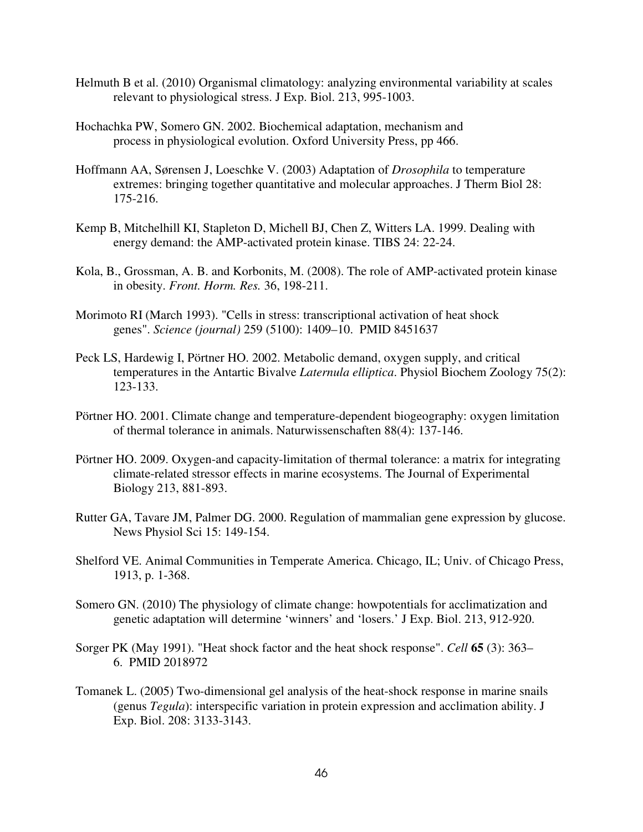- Helmuth B et al. (2010) Organismal climatology: analyzing environmental variability at scales relevant to physiological stress. J Exp. Biol. 213, 995-1003.
- Hochachka PW, Somero GN. 2002. Biochemical adaptation, mechanism and process in physiological evolution. Oxford University Press, pp 466.
- Hoffmann AA, Sørensen J, Loeschke V. (2003) Adaptation of *Drosophila* to temperature extremes: bringing together quantitative and molecular approaches. J Therm Biol 28: 175-216.
- Kemp B, Mitchelhill KI, Stapleton D, Michell BJ, Chen Z, Witters LA. 1999. Dealing with energy demand: the AMP-activated protein kinase. TIBS 24: 22-24.
- Kola, B., Grossman, A. B. and Korbonits, M. (2008). The role of AMP-activated protein kinase in obesity. *Front. Horm. Res.* 36, 198-211.
- Morimoto RI (March 1993). "Cells in stress: transcriptional activation of heat shock genes". *Science (journal)* 259 (5100): 1409–10. PMID 8451637
- Peck LS, Hardewig I, Pörtner HO. 2002. Metabolic demand, oxygen supply, and critical temperatures in the Antartic Bivalve *Laternula elliptica*. Physiol Biochem Zoology 75(2): 123-133.
- Pörtner HO. 2001. Climate change and temperature-dependent biogeography: oxygen limitation of thermal tolerance in animals. Naturwissenschaften 88(4): 137-146.
- Pörtner HO. 2009. Oxygen-and capacity-limitation of thermal tolerance: a matrix for integrating climate-related stressor effects in marine ecosystems. The Journal of Experimental Biology 213, 881-893.
- Rutter GA, Tavare JM, Palmer DG. 2000. Regulation of mammalian gene expression by glucose. News Physiol Sci 15: 149-154.
- Shelford VE. Animal Communities in Temperate America. Chicago, IL; Univ. of Chicago Press, 1913, p. 1-368.
- Somero GN. (2010) The physiology of climate change: howpotentials for acclimatization and genetic adaptation will determine 'winners' and 'losers.' J Exp. Biol. 213, 912-920.
- Sorger PK (May 1991). "Heat shock factor and the heat shock response". *Cell* **65** (3): 363– 6. PMID 2018972
- Tomanek L. (2005) Two-dimensional gel analysis of the heat-shock response in marine snails (genus *Tegula*): interspecific variation in protein expression and acclimation ability. J Exp. Biol. 208: 3133-3143.